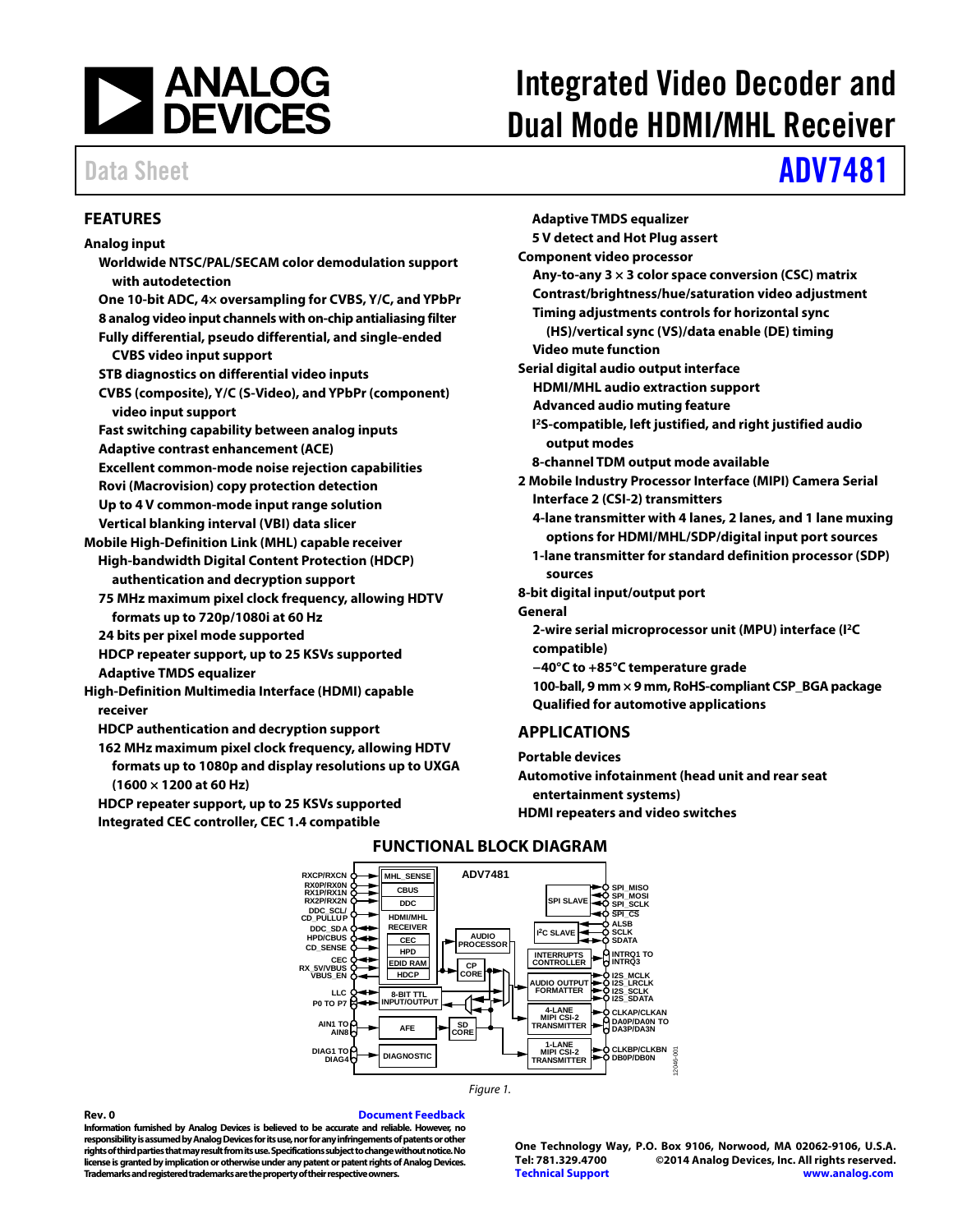

# Integrated Video Decoder and Dual Mode HDMI/MHL Receiver

# Data Sheet **[ADV7481](http://www.analog.com/ADV7481?doc=ADV7481.pdf)**

#### <span id="page-0-0"></span>**FEATURES**

#### **Analog input Worldwide NTSC/PAL/SECAM color demodulation support with autodetection One 10-bit ADC, 4× oversampling for CVBS, Y/C, and YPbPr 8 analog video input channels with on-chip antialiasing filter Fully differential, pseudo differential, and single-ended CVBS video input support STB diagnostics on differential video inputs CVBS (composite), Y/C (S-Video), and YPbPr (component) video input support Fast switching capability between analog inputs Adaptive contrast enhancement (ACE) Excellent common-mode noise rejection capabilities Rovi (Macrovision) copy protection detection Up to 4 V common-mode input range solution Vertical blanking interval (VBI) data slicer Mobile High-Definition Link (MHL) capable receiver High-bandwidth Digital Content Protection (HDCP) authentication and decryption support 75 MHz maximum pixel clock frequency, allowing HDTV formats up to 720p/1080i at 60 Hz 24 bits per pixel mode supported HDCP repeater support, up to 25 KSVs supported Adaptive TMDS equalizer High-Definition Multimedia Interface (HDMI) capable receiver HDCP authentication and decryption support 162 MHz maximum pixel clock frequency, allowing HDTV**

**formats up to 1080p and display resolutions up to UXGA (1600 × 1200 at 60 Hz)**

<span id="page-0-2"></span>**HDCP repeater support, up to 25 KSVs supported Integrated CEC controller, CEC 1.4 compatible**

**Adaptive TMDS equalizer 5 V detect and Hot Plug assert Component video processor Any-to-any 3 × 3 color space conversion (CSC) matrix Contrast/brightness/hue/saturation video adjustment Timing adjustments controls for horizontal sync (HS)/vertical sync (VS)/data enable (DE) timing Video mute function Serial digital audio output interface HDMI/MHL audio extraction support Advanced audio muting feature I 2S-compatible, left justified, and right justified audio output modes 8-channel TDM output mode available 2 Mobile Industry Processor Interface (MIPI) Camera Serial Interface 2 (CSI-2) transmitters 4-lane transmitter with 4 lanes, 2 lanes, and 1 lane muxing options for HDMI/MHL/SDP/digital input port sources 1-lane transmitter for standard definition processor (SDP) sources 8-bit digital input/output port General 2-wire serial microprocessor unit (MPU) interface (I2C compatible) −40°C to +85°C temperature grade 100-ball, 9 mm × 9 mm, RoHS-compliant CSP\_BGApackage Qualified for automotive applications**

### <span id="page-0-1"></span>**APPLICATIONS**

**Portable devices**

**Automotive infotainment (head unit and rear seat entertainment systems) HDMI repeaters and video switches**



### **FUNCTIONAL BLOCK DIAGRAM**

*Figure 1.*

**Rev. 0 [Document Feedback](https://form.analog.com/Form_Pages/feedback/documentfeedback.aspx?doc=ADV7481.pdf&product=ADV7481&rev=0) Information furnished by Analog Devices is believed to be accurate and reliable. However, no responsibility is assumed by Analog Devices for its use, nor for any infringements of patents or other rights of third parties that may result from its use. Specifications subject to change without notice. No license is granted by implication or otherwise under any patent or patent rights of Analog Devices. Trademarks and registered trademarks are the property of their respective owners.**

#### **One Technology Way, P.O. Box 9106, Norwood, MA 02062-9106, U.S.A. Tel: 781.329.4700 ©2014 Analog Devices, Inc. All rights reserved. [Technical Support](http://www.analog.com/en/content/technical_support_page/fca.html) [www.analog.com](http://www.analog.com/)**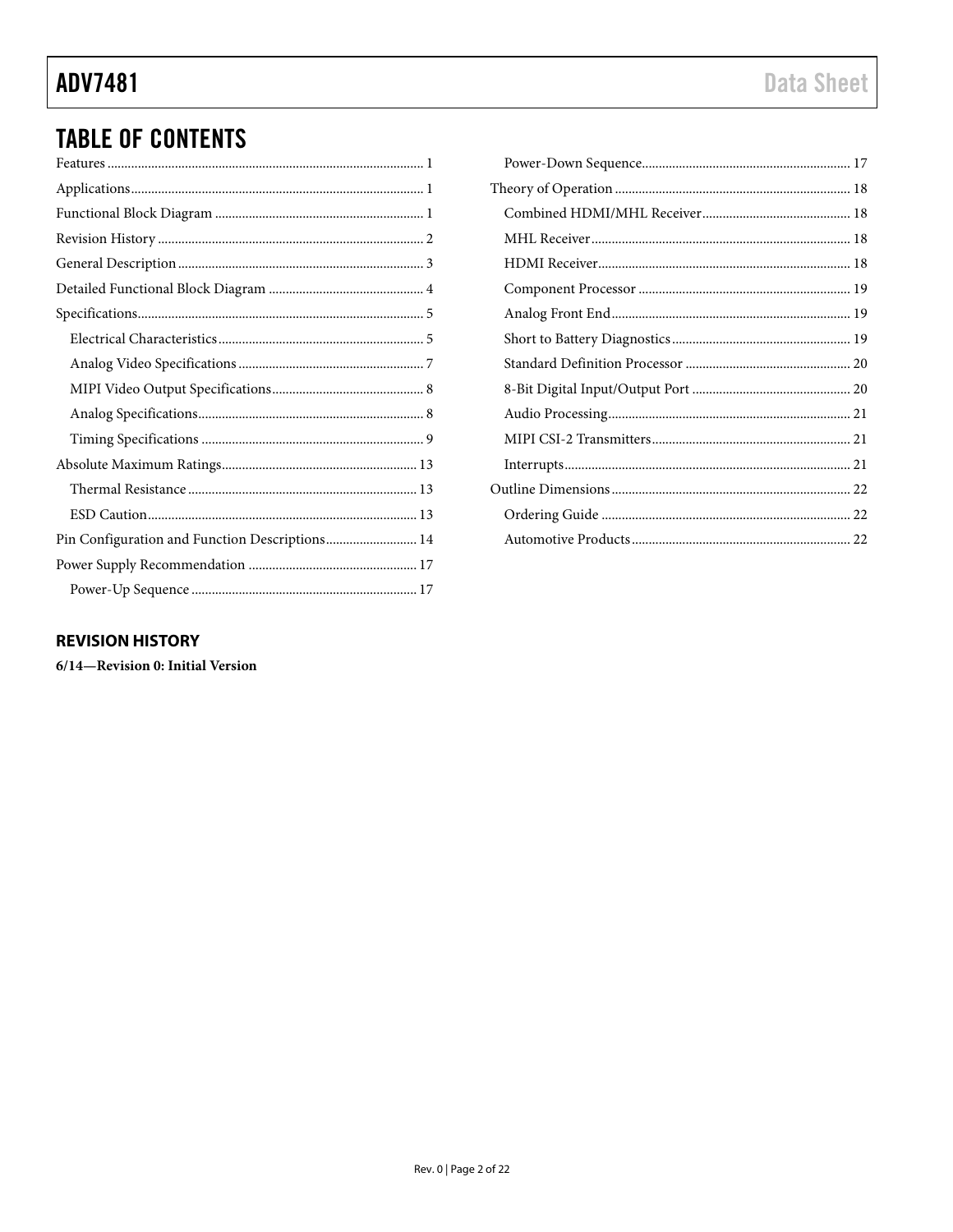# **ADV7481**

# **TABLE OF CONTENTS**

| Pin Configuration and Function Descriptions 14 |
|------------------------------------------------|
|                                                |
|                                                |

### <span id="page-1-0"></span>**REVISION HISTORY**

6/14-Revision 0: Initial Version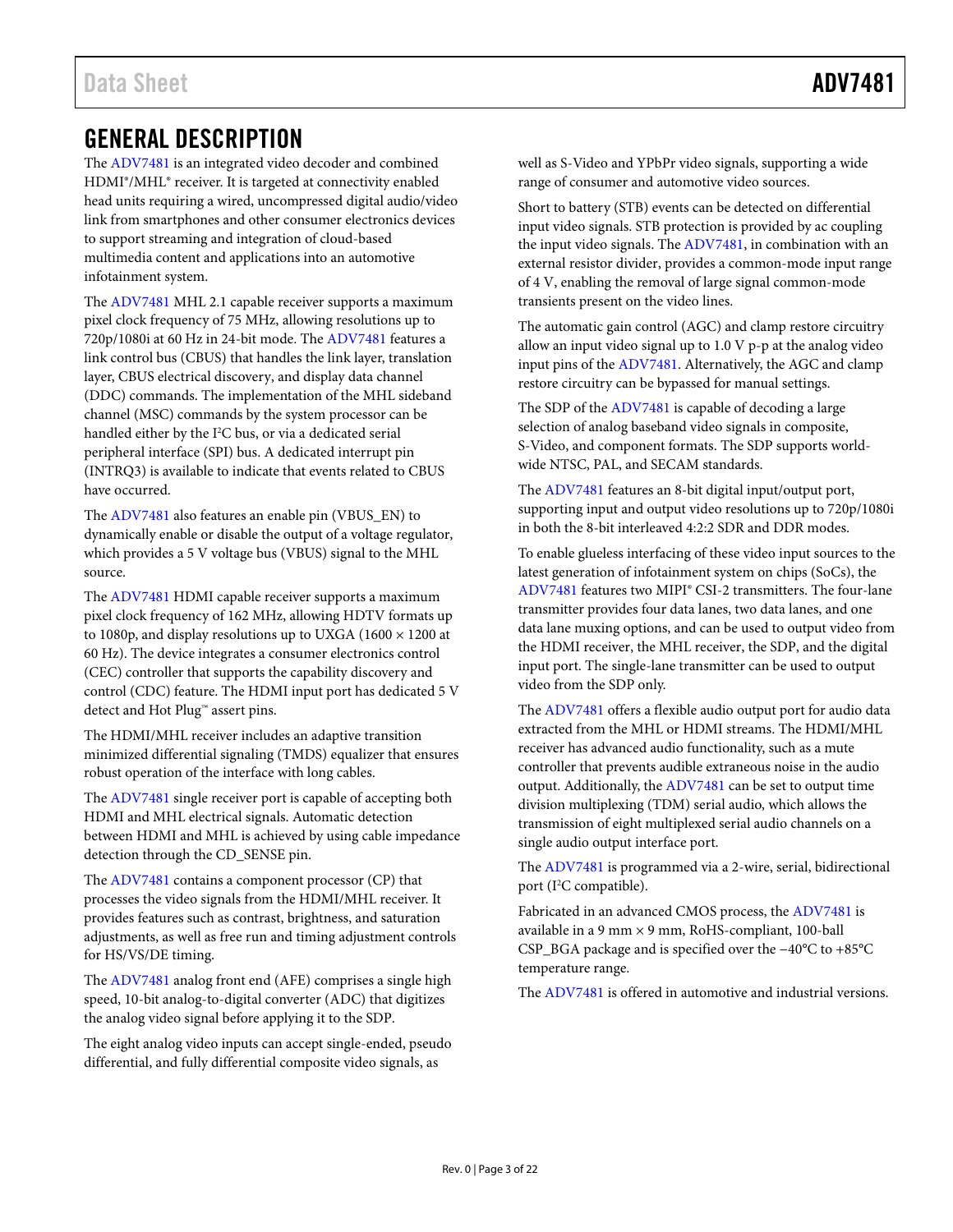# <span id="page-2-0"></span>GENERAL DESCRIPTION

The [ADV7481](http://www.analog.com/ADV7481?doc=ADV7481.pdf) is an integrated video decoder and combined HDMI®/MHL® receiver. It is targeted at connectivity enabled head units requiring a wired, uncompressed digital audio/video link from smartphones and other consumer electronics devices to support streaming and integration of cloud-based multimedia content and applications into an automotive infotainment system.

The [ADV7481](http://www.analog.com/ADV7481?doc=ADV7481.pdf) MHL 2.1 capable receiver supports a maximum pixel clock frequency of 75 MHz, allowing resolutions up to 720p/1080i at 60 Hz in 24-bit mode. The [ADV7481](http://www.analog.com/ADV7481?doc=ADV7481.pdf) features a link control bus (CBUS) that handles the link layer, translation layer, CBUS electrical discovery, and display data channel (DDC) commands. The implementation of the MHL sideband channel (MSC) commands by the system processor can be handled either by the  $I<sup>2</sup>C$  bus, or via a dedicated serial peripheral interface (SPI) bus. A dedicated interrupt pin (INTRQ3) is available to indicate that events related to CBUS have occurred.

The [ADV7481](http://www.analog.com/ADV7481?doc=ADV7481.pdf) also features an enable pin (VBUS\_EN) to dynamically enable or disable the output of a voltage regulator, which provides a 5 V voltage bus (VBUS) signal to the MHL source.

The [ADV7481](http://www.analog.com/ADV7481?doc=ADV7481.pdf) HDMI capable receiver supports a maximum pixel clock frequency of 162 MHz, allowing HDTV formats up to 1080p, and display resolutions up to UXGA (1600 × 1200 at 60 Hz). The device integrates a consumer electronics control (CEC) controller that supports the capability discovery and control (CDC) feature. The HDMI input port has dedicated 5 V detect and Hot Plug™ assert pins.

The HDMI/MHL receiver includes an adaptive transition minimized differential signaling (TMDS) equalizer that ensures robust operation of the interface with long cables.

The [ADV7481](http://www.analog.com/ADV7481?doc=ADV7481.pdf) single receiver port is capable of accepting both HDMI and MHL electrical signals. Automatic detection between HDMI and MHL is achieved by using cable impedance detection through the CD\_SENSE pin.

The [ADV7481](http://www.analog.com/ADV7481?doc=ADV7481.pdf) contains a component processor (CP) that processes the video signals from the HDMI/MHL receiver. It provides features such as contrast, brightness, and saturation adjustments, as well as free run and timing adjustment controls for HS/VS/DE timing.

The [ADV7481](http://www.analog.com/ADV7481?doc=ADV7481.pdf) analog front end (AFE) comprises a single high speed, 10-bit analog-to-digital converter (ADC) that digitizes the analog video signal before applying it to the SDP.

The eight analog video inputs can accept single-ended, pseudo differential, and fully differential composite video signals, as

well as S-Video and YPbPr video signals, supporting a wide range of consumer and automotive video sources.

Short to battery (STB) events can be detected on differential input video signals. STB protection is provided by ac coupling the input video signals. The [ADV7481,](http://www.analog.com/ADV7481?doc=ADV7481.pdf) in combination with an external resistor divider, provides a common-mode input range of 4 V, enabling the removal of large signal common-mode transients present on the video lines.

The automatic gain control (AGC) and clamp restore circuitry allow an input video signal up to 1.0 V p-p at the analog video input pins of the [ADV7481.](http://www.analog.com/ADV7481?doc=ADV7481.pdf) Alternatively, the AGC and clamp restore circuitry can be bypassed for manual settings.

The SDP of the [ADV7481](http://www.analog.com/ADV7481?doc=ADV7481.pdf) is capable of decoding a large selection of analog baseband video signals in composite, S-Video, and component formats. The SDP supports worldwide NTSC, PAL, and SECAM standards.

The [ADV7481](http://www.analog.com/ADV7481?doc=ADV7481.pdf) features an 8-bit digital input/output port, supporting input and output video resolutions up to 720p/1080i in both the 8-bit interleaved 4:2:2 SDR and DDR modes.

To enable glueless interfacing of these video input sources to the latest generation of infotainment system on chips (SoCs), the [ADV7481](http://www.analog.com/ADV7481?doc=ADV7481.pdf) features two MIPI® CSI-2 transmitters. The four-lane transmitter provides four data lanes, two data lanes, and one data lane muxing options, and can be used to output video from the HDMI receiver, the MHL receiver, the SDP, and the digital input port. The single-lane transmitter can be used to output video from the SDP only.

The [ADV7481](http://www.analog.com/ADV7481?doc=ADV7481.pdf) offers a flexible audio output port for audio data extracted from the MHL or HDMI streams. The HDMI/MHL receiver has advanced audio functionality, such as a mute controller that prevents audible extraneous noise in the audio output. Additionally, the [ADV7481](http://www.analog.com/ADV7481?doc=ADV7481.pdf) can be set to output time division multiplexing (TDM) serial audio, which allows the transmission of eight multiplexed serial audio channels on a single audio output interface port.

The [ADV7481](http://www.analog.com/ADV7481?doc=ADV7481.pdf) is programmed via a 2-wire, serial, bidirectional port (I2 C compatible).

Fabricated in an advanced CMOS process, th[e ADV7481](http://www.analog.com/ADV7481?doc=ADV7481.pdf) is available in a 9 mm × 9 mm, RoHS-compliant, 100-ball CSP\_BGA package and is specified over the −40°C to +85°C temperature range.

The [ADV7481](http://www.analog.com/ADV7481?doc=ADV7481.pdf) is offered in automotive and industrial versions.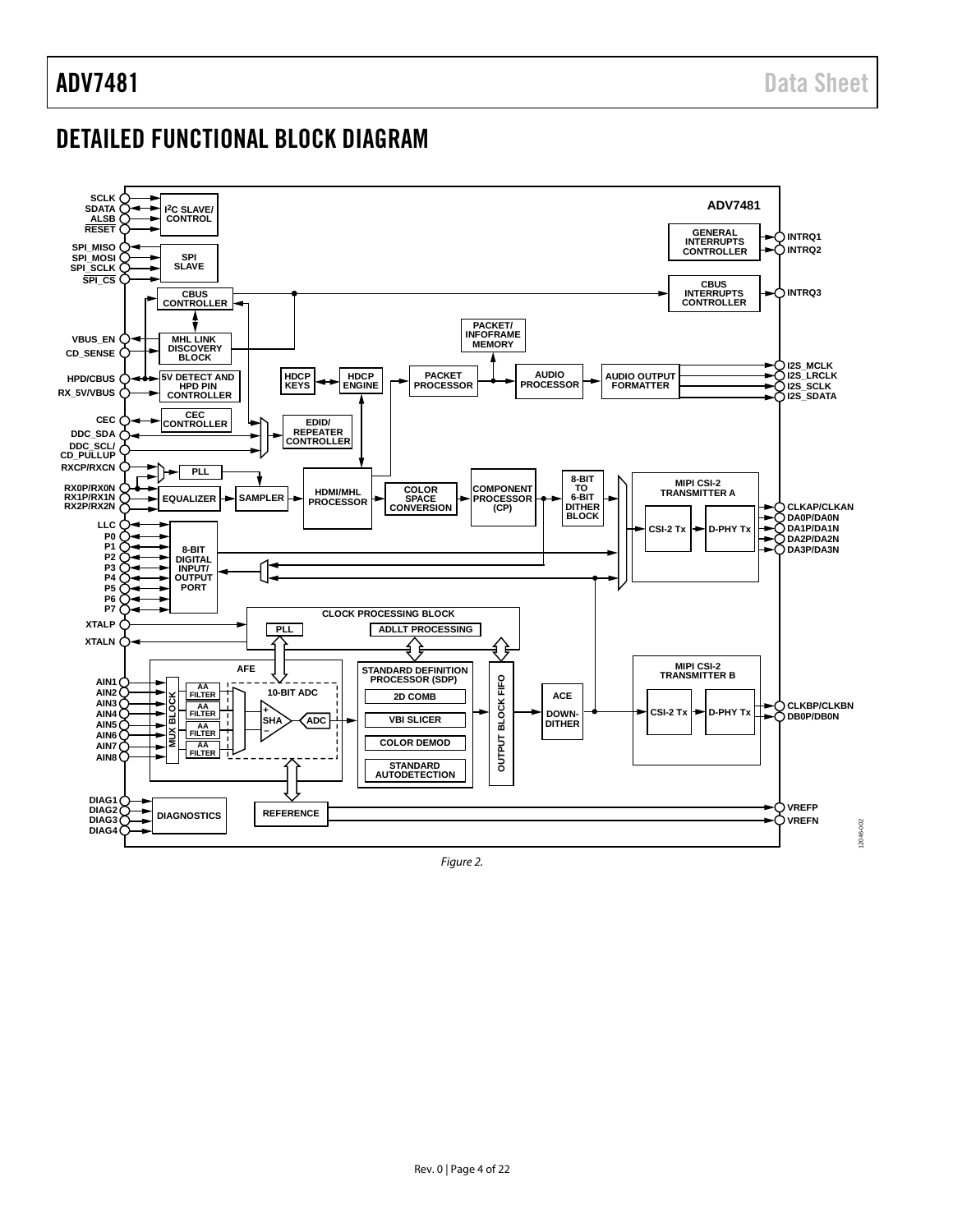## <span id="page-3-0"></span>DETAILED FUNCTIONAL BLOCK DIAGRAM



*Figure 2.*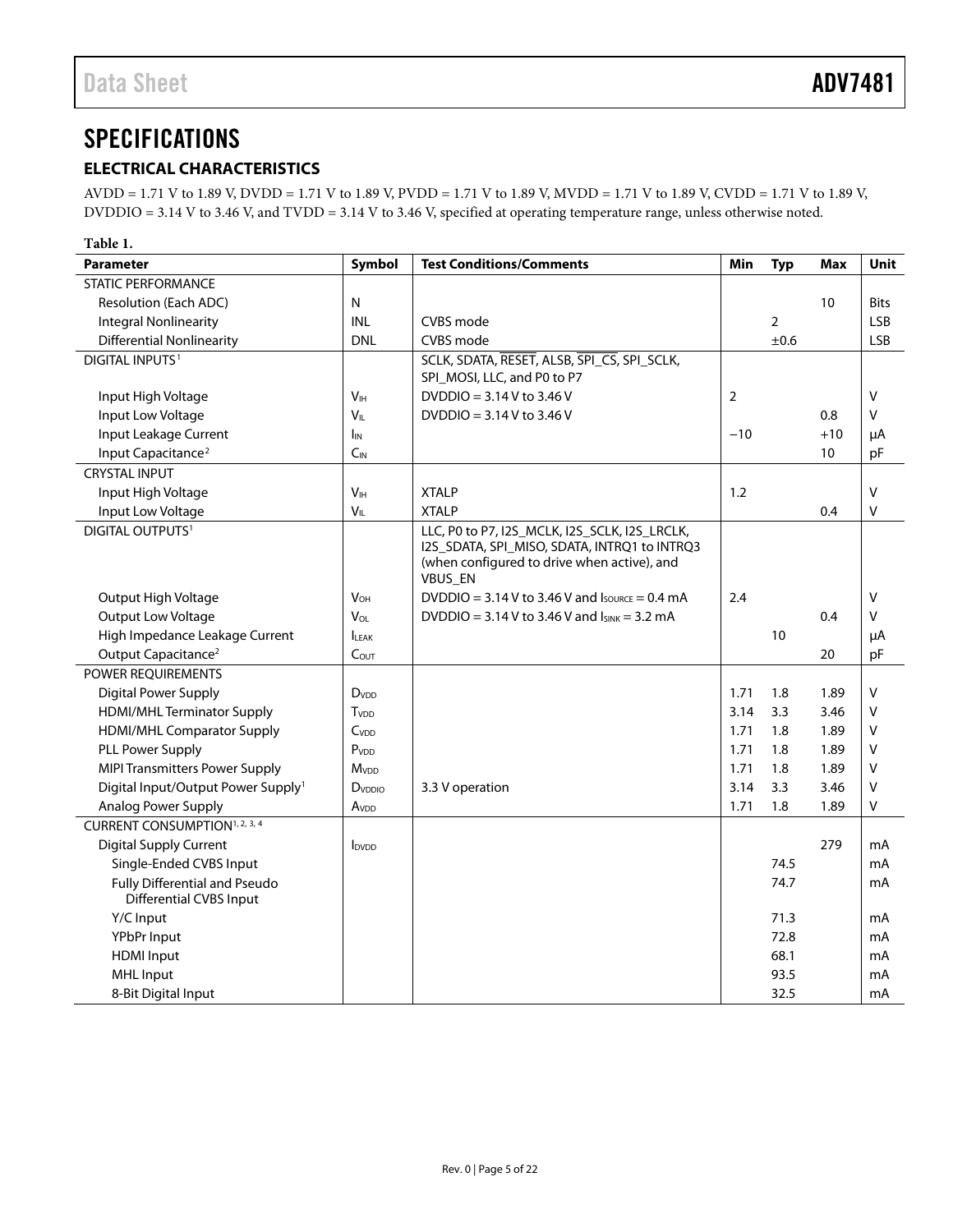# <span id="page-4-0"></span>**SPECIFICATIONS**

### <span id="page-4-1"></span>**ELECTRICAL CHARACTERISTICS**

AVDD = 1.71 V to 1.89 V, DVDD = 1.71 V to 1.89 V, PVDD = 1.71 V to 1.89 V, MVDD = 1.71 V to 1.89 V, CVDD = 1.71 V to 1.89 V, DVDDIO = 3.14 V to 3.46 V, and TVDD = 3.14 V to 3.46 V, specified at operating temperature range, unless otherwise noted.

| Table 1.                                                 |                          |                                                                                                                                                                |       |                |            |              |
|----------------------------------------------------------|--------------------------|----------------------------------------------------------------------------------------------------------------------------------------------------------------|-------|----------------|------------|--------------|
| <b>Parameter</b>                                         | Symbol                   | <b>Test Conditions/Comments</b>                                                                                                                                | Min   | <b>Typ</b>     | <b>Max</b> | <b>Unit</b>  |
| <b>STATIC PERFORMANCE</b>                                |                          |                                                                                                                                                                |       |                |            |              |
| Resolution (Each ADC)                                    | N                        |                                                                                                                                                                |       |                | 10         | <b>Bits</b>  |
| <b>Integral Nonlinearity</b>                             | <b>INL</b>               | CVBS mode                                                                                                                                                      |       | $\overline{2}$ |            | <b>LSB</b>   |
| <b>Differential Nonlinearity</b>                         | <b>DNL</b>               | CVBS mode                                                                                                                                                      |       | ±0.6           |            | <b>LSB</b>   |
| <b>DIGITAL INPUTS1</b>                                   |                          | SCLK, SDATA, RESET, ALSB, SPI_CS, SPI_SCLK,<br>SPI_MOSI, LLC, and P0 to P7                                                                                     |       |                |            |              |
| Input High Voltage                                       | V <sub>IH</sub>          | DVDDIO = $3.14$ V to 3.46 V                                                                                                                                    | 2     |                |            | $\vee$       |
| Input Low Voltage                                        | $V_{\parallel}$          | DVDDIO = $3.14$ V to 3.46 V                                                                                                                                    |       |                | 0.8        | V            |
| Input Leakage Current                                    | $I_{IN}$                 |                                                                                                                                                                | $-10$ |                | $+10$      | μA           |
| Input Capacitance <sup>2</sup>                           | $C_{IN}$                 |                                                                                                                                                                |       |                | 10         | pF           |
| <b>CRYSTAL INPUT</b>                                     |                          |                                                                                                                                                                |       |                |            |              |
| Input High Voltage                                       | V <sub>IH</sub>          | <b>XTALP</b>                                                                                                                                                   | 1.2   |                |            | $\mathsf{V}$ |
| Input Low Voltage                                        | $V_{IL}$                 | <b>XTALP</b>                                                                                                                                                   |       |                | 0.4        | V            |
| DIGITAL OUTPUTS <sup>1</sup>                             |                          | LLC, P0 to P7, I2S_MCLK, I2S_SCLK, I2S_LRCLK,<br>I2S_SDATA, SPI_MISO, SDATA, INTRQ1 to INTRQ3<br>(when configured to drive when active), and<br><b>VBUS EN</b> |       |                |            |              |
| Output High Voltage                                      | <b>V<sub>OH</sub></b>    | DVDDIO = 3.14 V to 3.46 V and $I_{\text{SOWRCE}} = 0.4 \text{ mA}$                                                                                             | 2.4   |                |            | V            |
| Output Low Voltage                                       | V <sub>OL</sub>          | DVDDIO = $3.14$ V to 3.46 V and $I_{SINK} = 3.2$ mA                                                                                                            |       |                | 0.4        | V            |
| High Impedance Leakage Current                           | <b>ILEAK</b>             |                                                                                                                                                                |       | 10             |            | μA           |
| Output Capacitance <sup>2</sup>                          | C <sub>OUT</sub>         |                                                                                                                                                                |       |                | 20         | pF           |
| POWER REQUIREMENTS                                       |                          |                                                                                                                                                                |       |                |            |              |
| <b>Digital Power Supply</b>                              | <b>D</b> <sub>VDD</sub>  |                                                                                                                                                                | 1.71  | 1.8            | 1.89       | V            |
| <b>HDMI/MHL Terminator Supply</b>                        | <b>T</b> <sub>VDD</sub>  |                                                                                                                                                                | 3.14  | 3.3            | 3.46       | $\vee$       |
| <b>HDMI/MHL Comparator Supply</b>                        | Cv <sub>DD</sub>         |                                                                                                                                                                | 1.71  | 1.8            | 1.89       | v            |
| PLL Power Supply                                         | P <sub>VDD</sub>         |                                                                                                                                                                | 1.71  | 1.8            | 1.89       | V            |
| <b>MIPI Transmitters Power Supply</b>                    | <b>M</b> v <sub>DD</sub> |                                                                                                                                                                | 1.71  | 1.8            | 1.89       | V            |
| Digital Input/Output Power Supply <sup>1</sup>           | D <sub>VDDIO</sub>       | 3.3 V operation                                                                                                                                                | 3.14  | 3.3            | 3.46       | V            |
| <b>Analog Power Supply</b>                               | Av <sub>DD</sub>         |                                                                                                                                                                | 1.71  | 1.8            | 1.89       | V            |
| CURRENT CONSUMPTION <sup>1, 2, 3, 4</sup>                |                          |                                                                                                                                                                |       |                |            |              |
| <b>Digital Supply Current</b>                            | <b>I</b> <sub>DVDD</sub> |                                                                                                                                                                |       |                | 279        | mA           |
| Single-Ended CVBS Input                                  |                          |                                                                                                                                                                |       | 74.5           |            | mA           |
| Fully Differential and Pseudo<br>Differential CVBS Input |                          |                                                                                                                                                                |       | 74.7           |            | mA           |
| Y/C Input                                                |                          |                                                                                                                                                                |       | 71.3           |            | mA           |
| YPbPr Input                                              |                          |                                                                                                                                                                |       | 72.8           |            | mA           |
| <b>HDMI</b> Input                                        |                          |                                                                                                                                                                |       | 68.1           |            | mA           |
| <b>MHL Input</b>                                         |                          |                                                                                                                                                                |       | 93.5           |            | mA           |
| 8-Bit Digital Input                                      |                          |                                                                                                                                                                |       | 32.5           |            | mA           |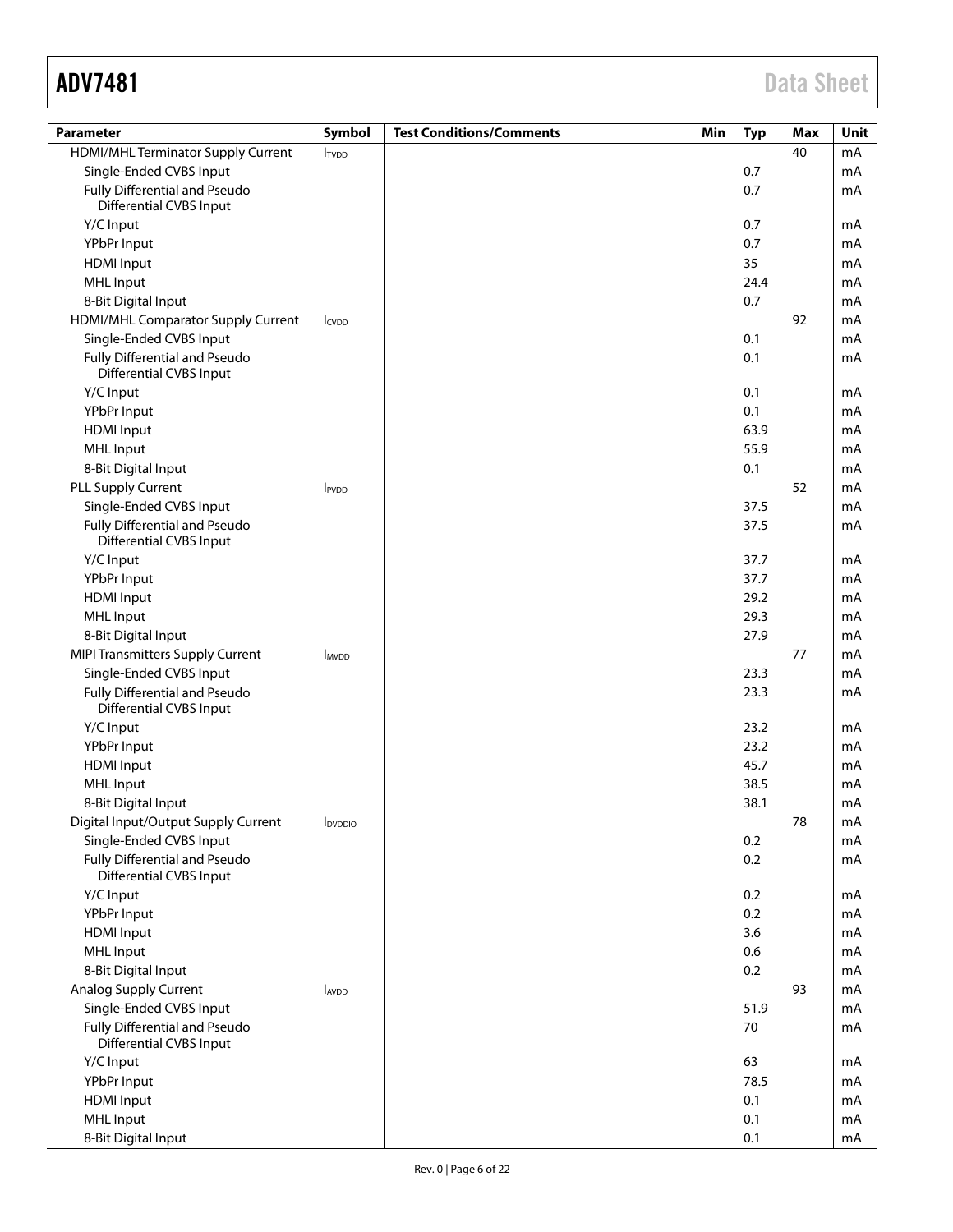| <b>Parameter</b>                                                | Symbol                     | <b>Test Conditions/Comments</b> | Min | <b>Typ</b> | <b>Max</b> | Unit |
|-----------------------------------------------------------------|----------------------------|---------------------------------|-----|------------|------------|------|
| HDMI/MHL Terminator Supply Current                              | <b>ITVDD</b>               |                                 |     |            | 40         | mA   |
| Single-Ended CVBS Input                                         |                            |                                 |     | 0.7        |            | mA   |
| Fully Differential and Pseudo<br><b>Differential CVBS Input</b> |                            |                                 |     | 0.7        |            | mA   |
| Y/C Input                                                       |                            |                                 |     | 0.7        |            | mA   |
| YPbPr Input                                                     |                            |                                 |     | 0.7        |            | mA   |
| <b>HDMI</b> Input                                               |                            |                                 |     | 35         |            | mA   |
| <b>MHL Input</b>                                                |                            |                                 |     | 24.4       |            | mA   |
| 8-Bit Digital Input                                             |                            |                                 |     | 0.7        |            | mA   |
| HDMI/MHL Comparator Supply Current                              | <b>I</b> CVDD              |                                 |     |            | 92         | mA   |
| Single-Ended CVBS Input                                         |                            |                                 |     | 0.1        |            | mA   |
| Fully Differential and Pseudo<br><b>Differential CVBS Input</b> |                            |                                 |     | 0.1        |            | mA   |
| Y/C Input                                                       |                            |                                 |     | 0.1        |            | mA   |
| YPbPr Input                                                     |                            |                                 |     | 0.1        |            | mA   |
| <b>HDMI</b> Input                                               |                            |                                 |     | 63.9       |            | mA   |
| <b>MHL</b> Input                                                |                            |                                 |     | 55.9       |            | mA   |
| 8-Bit Digital Input                                             |                            |                                 |     | 0.1        |            | mA   |
| PLL Supply Current                                              | <b>IPVDD</b>               |                                 |     |            | 52         | mA   |
| Single-Ended CVBS Input                                         |                            |                                 |     | 37.5       |            | mA   |
| Fully Differential and Pseudo<br><b>Differential CVBS Input</b> |                            |                                 |     | 37.5       |            | mA   |
| Y/C Input                                                       |                            |                                 |     | 37.7       |            | mA   |
| YPbPr Input                                                     |                            |                                 |     | 37.7       |            | mA   |
| <b>HDMI</b> Input                                               |                            |                                 |     | 29.2       |            | mA   |
| <b>MHL Input</b>                                                |                            |                                 |     | 29.3       |            | mA   |
| 8-Bit Digital Input                                             |                            |                                 |     | 27.9       |            | mA   |
| <b>MIPI Transmitters Supply Current</b>                         | <b>MVDD</b>                |                                 |     |            | 77         | mA   |
| Single-Ended CVBS Input                                         |                            |                                 |     | 23.3       |            | mA   |
| Fully Differential and Pseudo<br><b>Differential CVBS Input</b> |                            |                                 |     | 23.3       |            | mA   |
| Y/C Input                                                       |                            |                                 |     | 23.2       |            | mA   |
| YPbPr Input                                                     |                            |                                 |     | 23.2       |            | mA   |
| <b>HDMI</b> Input                                               |                            |                                 |     | 45.7       |            | mA   |
| <b>MHL Input</b>                                                |                            |                                 |     | 38.5       |            | mA   |
| 8-Bit Digital Input                                             |                            |                                 |     | 38.1       |            | mA   |
| Digital Input/Output Supply Current                             | <b>I</b> <sub>DVDDIO</sub> |                                 |     |            | 78         | mA   |
| Single-Ended CVBS Input                                         |                            |                                 |     | 0.2        |            | mA   |
| Fully Differential and Pseudo<br><b>Differential CVBS Input</b> |                            |                                 |     | 0.2        |            | mA   |
| Y/C Input                                                       |                            |                                 |     | 0.2        |            | mA   |
| YPbPr Input                                                     |                            |                                 |     | 0.2        |            | mA   |
| <b>HDMI</b> Input                                               |                            |                                 |     | 3.6        |            | mA   |
| <b>MHL Input</b>                                                |                            |                                 |     | 0.6        |            | mA   |
| 8-Bit Digital Input                                             |                            |                                 |     | 0.2        |            | mA   |
| Analog Supply Current                                           | <b>AVDD</b>                |                                 |     |            | 93         | mA   |
| Single-Ended CVBS Input                                         |                            |                                 |     | 51.9       |            | mA   |
| Fully Differential and Pseudo<br><b>Differential CVBS Input</b> |                            |                                 |     | 70         |            | mA   |
| Y/C Input                                                       |                            |                                 |     | 63         |            | mA   |
| YPbPr Input                                                     |                            |                                 |     | 78.5       |            | mA   |
| <b>HDMI</b> Input                                               |                            |                                 |     | 0.1        |            | mA   |
| <b>MHL Input</b>                                                |                            |                                 |     | 0.1        |            | mA   |
| 8-Bit Digital Input                                             |                            |                                 |     | 0.1        |            | mA   |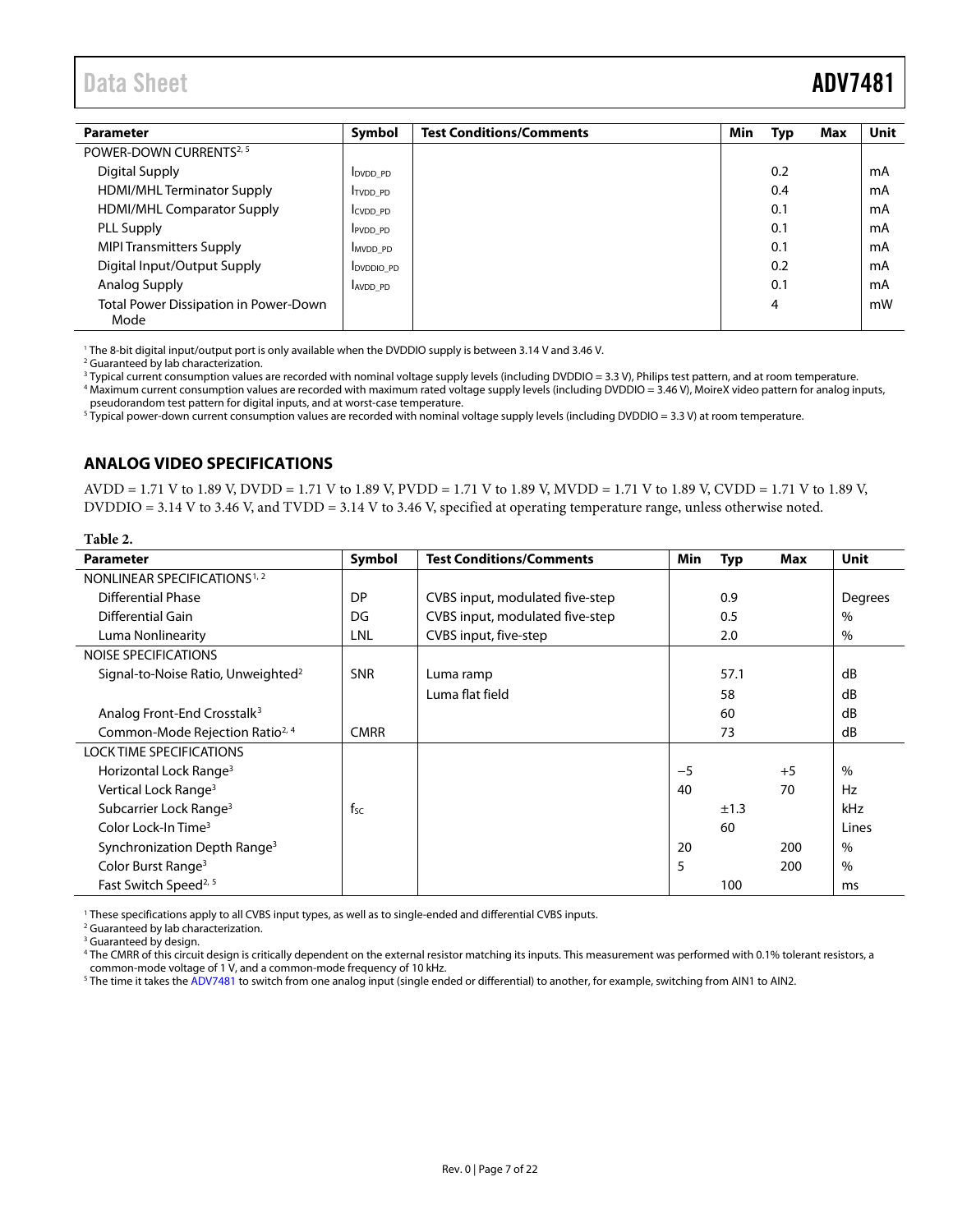<span id="page-6-2"></span>

| <b>Parameter</b>                                     | Symbol           | <b>Test Conditions/Comments</b> | <b>Min</b> | Typ | Max | <b>Unit</b> |
|------------------------------------------------------|------------------|---------------------------------|------------|-----|-----|-------------|
| POWER-DOWN CURRENTS <sup>2, 5</sup>                  |                  |                                 |            |     |     |             |
| <b>Digital Supply</b>                                | <b>DVDD PD</b>   |                                 |            | 0.2 |     | mA          |
| <b>HDMI/MHL Terminator Supply</b>                    | <b>ITVDD PD</b>  |                                 |            | 0.4 |     | mA          |
| <b>HDMI/MHL Comparator Supply</b>                    | CVDD PD          |                                 |            | 0.1 |     | mA          |
| PLL Supply                                           | <b>PVDD PD</b>   |                                 |            | 0.1 |     | mA          |
| <b>MIPI Transmitters Supply</b>                      | <b>MVDD PD</b>   |                                 |            | 0.1 |     | mA          |
| Digital Input/Output Supply                          | <b>DVDDIO PD</b> |                                 |            | 0.2 |     | mA          |
| Analog Supply                                        | AVDD PD          |                                 |            | 0.1 |     | mA          |
| <b>Total Power Dissipation in Power-Down</b><br>Mode |                  |                                 |            | 4   |     | mW          |

<sup>1</sup> The 8-bit digital input/output port is only available when the DVDDIO supply is between 3.14 V and 3.46 V.

<span id="page-6-1"></span><sup>2</sup> Guaranteed by lab characterization.

<sup>3</sup> Typical current consumption values are recorded with nominal voltage supply levels (including DVDDIO = 3.3 V), Philips test pattern, and at room temperature. <sup>4</sup> Maximum current consumption values are recorded with maximum rated voltage supply levels (including DVDDIO = 3.46 V), MoireX video pattern for analog inputs, pseudorandom test pattern for digital inputs, and at worst-case temperature.

 $^5$  Typical power-down current consumption values are recorded with nominal voltage supply levels (including DVDDIO = 3.3 V) at room temperature.

#### <span id="page-6-0"></span>**ANALOG VIDEO SPECIFICATIONS**

AVDD = 1.71 V to 1.89 V, DVDD = 1.71 V to 1.89 V, PVDD = 1.71 V to 1.89 V, MVDD = 1.71 V to 1.89 V, CVDD = 1.71 V to 1.89 V, DVDDIO = 3.14 V to 3.46 V, and TVDD = 3.14 V to 3.46 V, specified at operating temperature range, unless otherwise noted.

| Table 2.                                       |             |                                 |      |            |      |         |
|------------------------------------------------|-------------|---------------------------------|------|------------|------|---------|
| <b>Parameter</b>                               | Symbol      | <b>Test Conditions/Comments</b> | Min  | <b>Typ</b> | Max  | Unit    |
| NONLINEAR SPECIFICATIONS <sup>1, 2</sup>       |             |                                 |      |            |      |         |
| <b>Differential Phase</b>                      | DP          | CVBS input, modulated five-step |      | 0.9        |      | Degrees |
| Differential Gain                              | DG          | CVBS input, modulated five-step |      | 0.5        |      | $\%$    |
| Luma Nonlinearity                              | LNL         | CVBS input, five-step           |      | 2.0        |      | $\%$    |
| <b>NOISE SPECIFICATIONS</b>                    |             |                                 |      |            |      |         |
| Signal-to-Noise Ratio, Unweighted <sup>2</sup> | <b>SNR</b>  | Luma ramp                       |      | 57.1       |      | dB      |
|                                                |             | Luma flat field                 |      | 58         |      | dB      |
| Analog Front-End Crosstalk <sup>3</sup>        |             |                                 |      | 60         |      | dB      |
| Common-Mode Rejection Ratio <sup>2, 4</sup>    | <b>CMRR</b> |                                 |      | 73         |      | dB      |
| <b>LOCK TIME SPECIFICATIONS</b>                |             |                                 |      |            |      |         |
| Horizontal Lock Range <sup>3</sup>             |             |                                 | $-5$ |            | $+5$ | $\%$    |
| Vertical Lock Range <sup>3</sup>               |             |                                 | 40   |            | 70   | Hz      |
| Subcarrier Lock Range <sup>3</sup>             | fsc         |                                 |      | ±1.3       |      | kHz     |
| Color Lock-In Time <sup>3</sup>                |             |                                 |      | 60         |      | Lines   |
| Synchronization Depth Range <sup>3</sup>       |             |                                 | 20   |            | 200  | $\%$    |
| Color Burst Range <sup>3</sup>                 |             |                                 | 5    |            | 200  | $\%$    |
| Fast Switch Speed <sup>2, 5</sup>              |             |                                 |      | 100        |      | ms      |

<sup>1</sup> These specifications apply to all CVBS input types, as well as to single-ended and differential CVBS inputs.

<sup>2</sup> Guaranteed by lab characterization.

<sup>3</sup> Guaranteed by design.

<sup>4</sup> The CMRR of this circuit design is critically dependent on the external resistor matching its inputs. This measurement was performed with 0.1% tolerant resistors, a common-mode voltage of 1 V, and a common-mode frequency of 10 kHz.

<sup>5</sup> The time it takes th[e ADV7481](http://www.analog.com/ADV7481?doc=ADV7481.pdf) to switch from one analog input (single ended or differential) to another, for example, switching from AIN1 to AIN2.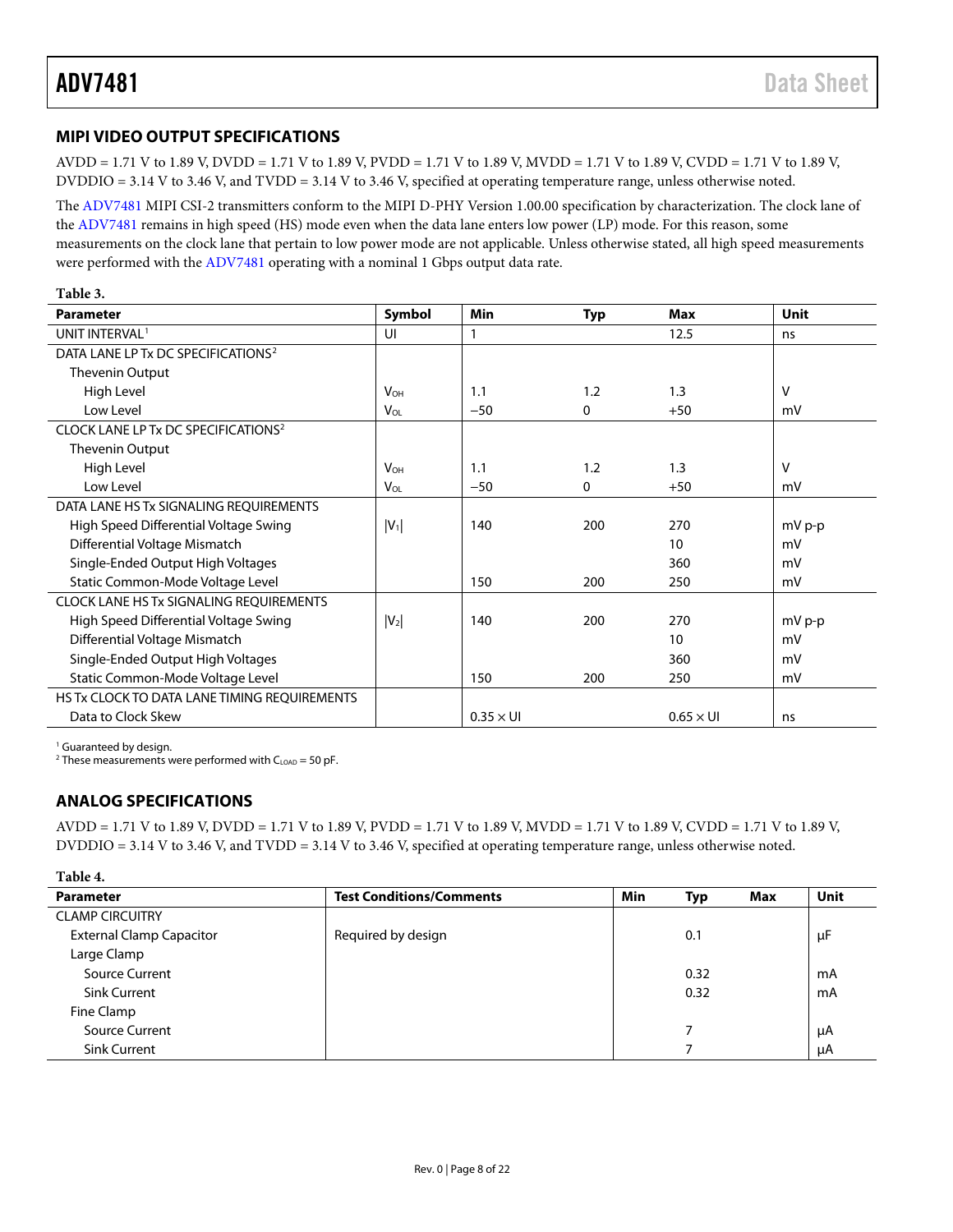### <span id="page-7-0"></span>**MIPI VIDEO OUTPUT SPECIFICATIONS**

AVDD = 1.71 V to 1.89 V, DVDD = 1.71 V to 1.89 V, PVDD = 1.71 V to 1.89 V, MVDD = 1.71 V to 1.89 V, CVDD = 1.71 V to 1.89 V, DVDDIO = 3.14 V to 3.46 V, and TVDD = 3.14 V to 3.46 V, specified at operating temperature range, unless otherwise noted.

The [ADV7481](http://www.analog.com/ADV7481?doc=ADV7481.pdf) MIPI CSI-2 transmitters conform to the MIPI D-PHY Version 1.00.00 specification by characterization. The clock lane of the [ADV7481](http://www.analog.com/ADV7481?doc=ADV7481.pdf) remains in high speed (HS) mode even when the data lane enters low power (LP) mode. For this reason, some measurements on the clock lane that pertain to low power mode are not applicable. Unless otherwise stated, all high speed measurements were performed with the [ADV7481](http://www.analog.com/ADV7481?doc=ADV7481.pdf) operating with a nominal 1 Gbps output data rate.

| Table 3.                                        |                        |                  |            |                  |             |
|-------------------------------------------------|------------------------|------------------|------------|------------------|-------------|
| <b>Parameter</b>                                | Symbol                 | Min              | <b>Typ</b> | Max              | <b>Unit</b> |
| UNIT INTERVAL <sup>1</sup>                      | UI                     | 1                |            | 12.5             | ns          |
| DATA LANE LP Tx DC SPECIFICATIONS <sup>2</sup>  |                        |                  |            |                  |             |
| Thevenin Output                                 |                        |                  |            |                  |             |
| High Level                                      | <b>V<sub>OH</sub></b>  | 1.1              | 1.2        | 1.3              | V           |
| Low Level                                       | V <sub>OL</sub>        | $-50$            | $\Omega$   | $+50$            | mV          |
| CLOCK LANE LP Tx DC SPECIFICATIONS <sup>2</sup> |                        |                  |            |                  |             |
| Thevenin Output                                 |                        |                  |            |                  |             |
| High Level                                      | <b>V</b> <sub>OН</sub> | 1.1              | 1.2        | 1.3              | v           |
| Low Level                                       | V <sub>OL</sub>        | $-50$            | 0          | $+50$            | mV          |
| DATA LANE HS Tx SIGNALING REQUIREMENTS          |                        |                  |            |                  |             |
| High Speed Differential Voltage Swing           | $ V_1 $                | 140              | 200        | 270              | $mV p-p$    |
| Differential Voltage Mismatch                   |                        |                  |            | 10               | mV          |
| Single-Ended Output High Voltages               |                        |                  |            | 360              | mV          |
| Static Common-Mode Voltage Level                |                        | 150              | 200        | 250              | mV          |
| <b>CLOCK LANE HS Tx SIGNALING REQUIREMENTS</b>  |                        |                  |            |                  |             |
| High Speed Differential Voltage Swing           | $ V_2 $                | 140              | 200        | 270              | $mV p-p$    |
| Differential Voltage Mismatch                   |                        |                  |            | 10               | mV          |
| Single-Ended Output High Voltages               |                        |                  |            | 360              | mV          |
| Static Common-Mode Voltage Level                |                        | 150              | 200        | 250              | mV          |
| HS Tx CLOCK TO DATA LANE TIMING REQUIREMENTS    |                        |                  |            |                  |             |
| Data to Clock Skew                              |                        | $0.35 \times U1$ |            | $0.65 \times$ UI | ns          |

<sup>1</sup> Guaranteed by design.

<sup>2</sup> These measurements were performed with  $C_{LOAD} = 50$  pF.

#### <span id="page-7-1"></span>**ANALOG SPECIFICATIONS**

AVDD = 1.71 V to 1.89 V, DVDD = 1.71 V to 1.89 V, PVDD = 1.71 V to 1.89 V, MVDD = 1.71 V to 1.89 V, CVDD = 1.71 V to 1.89 V, DVDDIO = 3.14 V to 3.46 V, and TVDD = 3.14 V to 3.46 V, specified at operating temperature range, unless otherwise noted.

| ав | æ |
|----|---|
|    |   |

| <b>Parameter</b>                | <b>Test Conditions/Comments</b> | Min | Typ  | Max | Unit |
|---------------------------------|---------------------------------|-----|------|-----|------|
| <b>CLAMP CIRCUITRY</b>          |                                 |     |      |     |      |
| <b>External Clamp Capacitor</b> | Required by design              |     | 0.1  |     | μF   |
| Large Clamp                     |                                 |     |      |     |      |
| Source Current                  |                                 |     | 0.32 |     | mA   |
| <b>Sink Current</b>             |                                 |     | 0.32 |     | mA   |
| Fine Clamp                      |                                 |     |      |     |      |
| <b>Source Current</b>           |                                 |     |      |     | μA   |
| <b>Sink Current</b>             |                                 |     |      |     | μA   |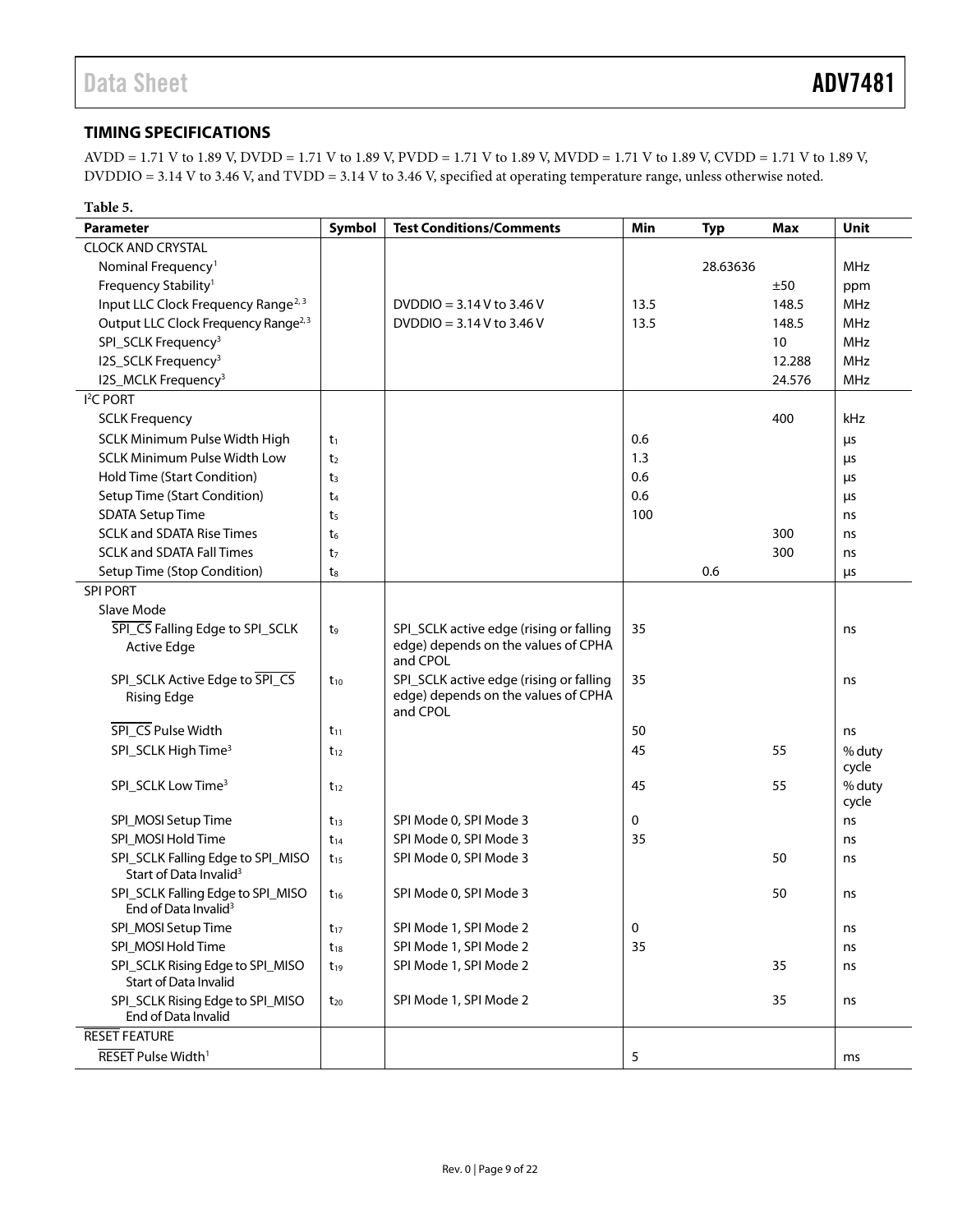### <span id="page-8-0"></span>**TIMING SPECIFICATIONS**

AVDD = 1.71 V to 1.89 V, DVDD = 1.71 V to 1.89 V, PVDD = 1.71 V to 1.89 V, MVDD = 1.71 V to 1.89 V, CVDD = 1.71 V to 1.89 V, DVDDIO = 3.14 V to 3.46 V, and TVDD = 3.14 V to 3.46 V, specified at operating temperature range, unless otherwise noted.

| <b>Parameter</b><br>Symbol<br><b>Test Conditions/Comments</b><br>Min<br>Unit<br><b>Typ</b><br><b>Max</b>                                                                   |        |
|----------------------------------------------------------------------------------------------------------------------------------------------------------------------------|--------|
|                                                                                                                                                                            |        |
| <b>CLOCK AND CRYSTAL</b>                                                                                                                                                   |        |
| MHz<br>Nominal Frequency <sup>1</sup><br>28.63636                                                                                                                          |        |
| Frequency Stability <sup>1</sup><br>±50<br>ppm                                                                                                                             |        |
| Input LLC Clock Frequency Range <sup>2, 3</sup><br>DVDDIO = $3.14$ V to $3.46$ V<br>13.5<br>MHz<br>148.5                                                                   |        |
| Output LLC Clock Frequency Range <sup>2,3</sup><br>DVDDIO = $3.14$ V to 3.46 V<br>13.5<br>148.5<br><b>MHz</b>                                                              |        |
| SPI_SCLK Frequency <sup>3</sup><br>10<br><b>MHz</b>                                                                                                                        |        |
| I2S_SCLK Frequency <sup>3</sup><br>12.288<br><b>MHz</b>                                                                                                                    |        |
| I2S_MCLK Frequency <sup>3</sup><br>24.576<br><b>MHz</b>                                                                                                                    |        |
| I <sup>2</sup> C PORT                                                                                                                                                      |        |
| 400<br>kHz<br><b>SCLK Frequency</b>                                                                                                                                        |        |
| SCLK Minimum Pulse Width High<br>0.6<br>t1<br>μs                                                                                                                           |        |
| <b>SCLK Minimum Pulse Width Low</b><br>1.3<br>t <sub>2</sub><br>μs                                                                                                         |        |
| Hold Time (Start Condition)<br>0.6<br>t <sub>3</sub><br>μs                                                                                                                 |        |
| Setup Time (Start Condition)<br>0.6<br>t4<br>μs                                                                                                                            |        |
| <b>SDATA Setup Time</b><br>100<br>t5<br>ns                                                                                                                                 |        |
| <b>SCLK and SDATA Rise Times</b><br>300<br>t <sub>6</sub><br>ns                                                                                                            |        |
| <b>SCLK and SDATA Fall Times</b><br>300<br>t <sub>7</sub><br>ns                                                                                                            |        |
| Setup Time (Stop Condition)<br>0.6<br>ts<br>μs                                                                                                                             |        |
| <b>SPI PORT</b>                                                                                                                                                            |        |
| Slave Mode                                                                                                                                                                 |        |
| SPI_CS Falling Edge to SPI_SCLK<br>35<br>SPI_SCLK active edge (rising or falling<br>t9<br>ns                                                                               |        |
| edge) depends on the values of CPHA<br><b>Active Edge</b><br>and CPOL                                                                                                      |        |
| SPI_SCLK Active Edge to SPI_CS<br>35<br>SPI_SCLK active edge (rising or falling<br>$t_{10}$<br>ns<br>edge) depends on the values of CPHA<br><b>Rising Edge</b><br>and CPOL |        |
| SPI_CS Pulse Width<br>50<br>$t_{11}$<br>ns                                                                                                                                 |        |
| SPI_SCLK High Time <sup>3</sup><br>45<br>55<br>$t_{12}$                                                                                                                    | % duty |
| cycle                                                                                                                                                                      |        |
| SPI_SCLK Low Time <sup>3</sup><br>45<br>55<br>$t_{12}$                                                                                                                     | % duty |
| cycle                                                                                                                                                                      |        |
| 0<br>SPI_MOSI Setup Time<br>SPI Mode 0, SPI Mode 3<br>$t_{13}$<br>ns                                                                                                       |        |
| SPI_MOSI Hold Time<br>SPI Mode 0, SPI Mode 3<br>35<br>$t_{14}$<br>ns                                                                                                       |        |
| SPI_SCLK Falling Edge to SPI_MISO<br>SPI Mode 0, SPI Mode 3<br>50<br>$t_{15}$<br>ns<br>Start of Data Invalid <sup>3</sup>                                                  |        |
| SPI_SCLK Falling Edge to SPI_MISO<br>SPI Mode 0, SPI Mode 3<br>50<br>$t_{16}$<br>ns<br>End of Data Invalid <sup>3</sup>                                                    |        |
| SPI_MOSI Setup Time<br>SPI Mode 1, SPI Mode 2<br>0<br>$t_{17}$<br>ns                                                                                                       |        |
| SPI_MOSI Hold Time<br>SPI Mode 1, SPI Mode 2<br>35<br>$t_{18}$<br>ns                                                                                                       |        |
| SPI_SCLK Rising Edge to SPI_MISO<br>SPI Mode 1, SPI Mode 2<br>35<br>ns<br>$t_{19}$<br><b>Start of Data Invalid</b>                                                         |        |
| SPI_SCLK Rising Edge to SPI_MISO<br>SPI Mode 1, SPI Mode 2<br>35<br>$t_{20}$<br>ns<br>End of Data Invalid                                                                  |        |
| <b>RESET FEATURE</b>                                                                                                                                                       |        |
| RESET Pulse Width <sup>1</sup><br>5<br>ms                                                                                                                                  |        |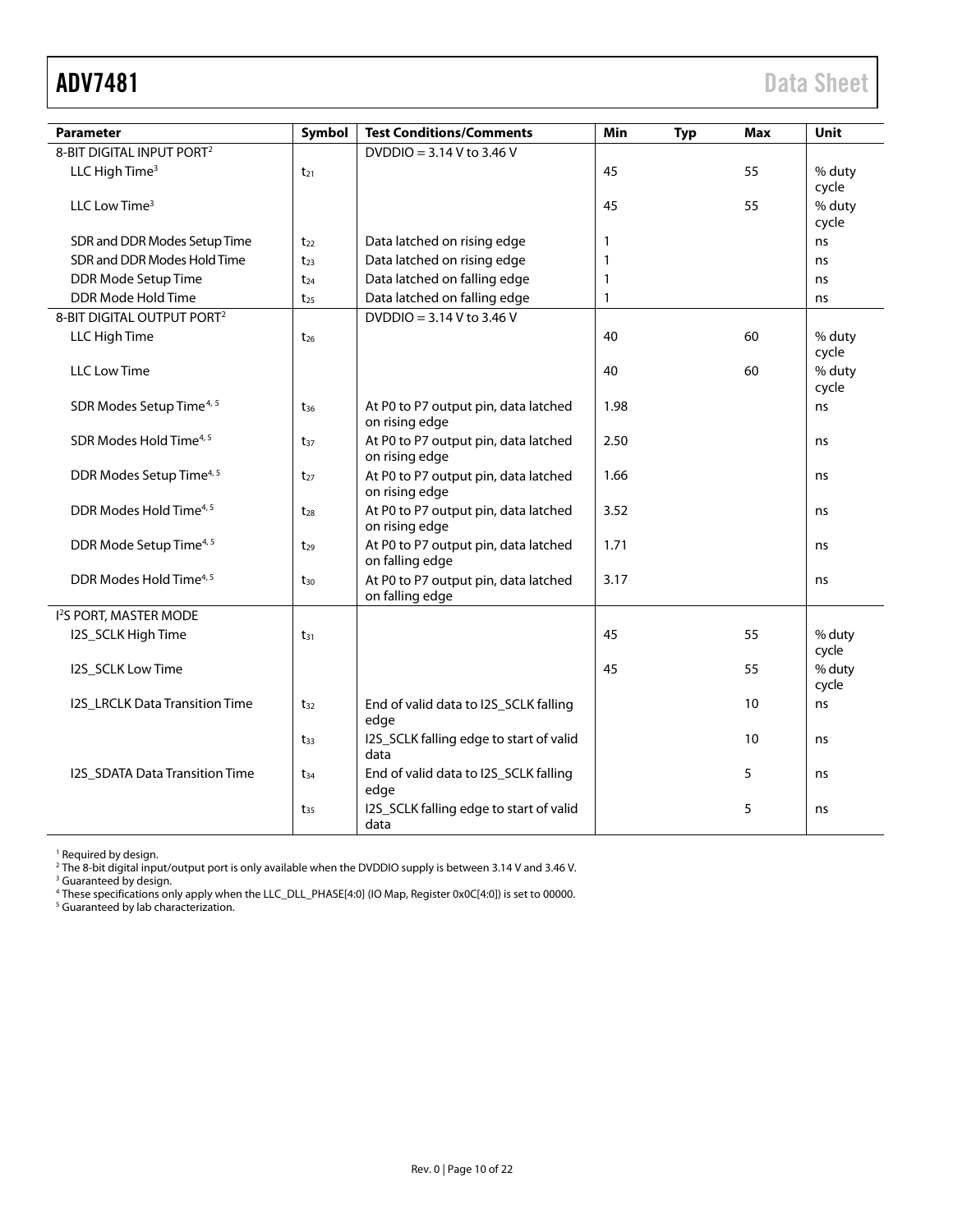<span id="page-9-0"></span>

| <b>Parameter</b>                       | Symbol   | <b>Test Conditions/Comments</b>                         | Min  | <b>Typ</b> | Max | <b>Unit</b>     |
|----------------------------------------|----------|---------------------------------------------------------|------|------------|-----|-----------------|
| 8-BIT DIGITAL INPUT PORT <sup>2</sup>  |          | DVDDIO = 3.14 V to 3.46 V                               |      |            |     |                 |
| LLC High Time <sup>3</sup>             | $t_{21}$ |                                                         | 45   |            | 55  | % duty<br>cycle |
| LLC Low Time <sup>3</sup>              |          |                                                         | 45   |            | 55  | % duty<br>cycle |
| SDR and DDR Modes Setup Time           | $t_{22}$ | Data latched on rising edge                             | 1    |            |     | ns              |
| SDR and DDR Modes Hold Time            | $t_{23}$ | Data latched on rising edge                             | 1    |            |     | ns              |
| DDR Mode Setup Time                    | $t_{24}$ | Data latched on falling edge                            | 1    |            |     | ns              |
| DDR Mode Hold Time                     | $t_{25}$ | Data latched on falling edge                            | 1    |            |     | ns              |
| 8-BIT DIGITAL OUTPUT PORT <sup>2</sup> |          | $DVDDO = 3.14 V to 3.46 V$                              |      |            |     |                 |
| LLC High Time                          | $t_{26}$ |                                                         | 40   |            | 60  | % duty<br>cycle |
| <b>LLC Low Time</b>                    |          |                                                         | 40   |            | 60  | % duty<br>cycle |
| SDR Modes Setup Time <sup>4, 5</sup>   | $t_{36}$ | At P0 to P7 output pin, data latched<br>on rising edge  | 1.98 |            |     | ns              |
| SDR Modes Hold Time <sup>4, 5</sup>    | $t_{37}$ | At P0 to P7 output pin, data latched<br>on rising edge  | 2.50 |            |     | ns.             |
| DDR Modes Setup Time <sup>4, 5</sup>   | $t_{27}$ | At P0 to P7 output pin, data latched<br>on rising edge  | 1.66 |            |     | ns              |
| DDR Modes Hold Time <sup>4, 5</sup>    | $t_{28}$ | At P0 to P7 output pin, data latched<br>on rising edge  | 3.52 |            |     | ns              |
| DDR Mode Setup Time <sup>4, 5</sup>    | $t_{29}$ | At P0 to P7 output pin, data latched<br>on falling edge | 1.71 |            |     | ns              |
| DDR Modes Hold Time <sup>4, 5</sup>    | $t_{30}$ | At P0 to P7 output pin, data latched<br>on falling edge | 3.17 |            |     | ns              |
| I <sup>2</sup> S PORT, MASTER MODE     |          |                                                         |      |            |     |                 |
| I2S_SCLK High Time                     | $t_{31}$ |                                                         | 45   |            | 55  | % duty<br>cycle |
| I2S_SCLK Low Time                      |          |                                                         | 45   |            | 55  | % duty<br>cycle |
| <b>I2S_LRCLK Data Transition Time</b>  | $t_{32}$ | End of valid data to I2S_SCLK falling<br>edge           |      |            | 10  | ns              |
|                                        | $t_{33}$ | I2S_SCLK falling edge to start of valid<br>data         |      |            | 10  | ns              |
| I2S_SDATA Data Transition Time         | $t_{34}$ | End of valid data to I2S_SCLK falling<br>edge           |      |            | 5   | ns              |
|                                        | $t_{35}$ | I2S_SCLK falling edge to start of valid<br>data         |      |            | 5   | ns              |

<sup>1</sup> Required by design.

<sup>2</sup> The 8-bit digital input/output port is only available when the DVDDIO supply is between 3.14 V and 3.46 V.

<sup>3</sup> Guaranteed by design.

<sup>4</sup> These specifications only apply when the LLC\_DLL\_PHASE[4:0] (IO Map, Register 0x0C[4:0]) is set to 00000.

<sup>5</sup> Guaranteed by lab characterization.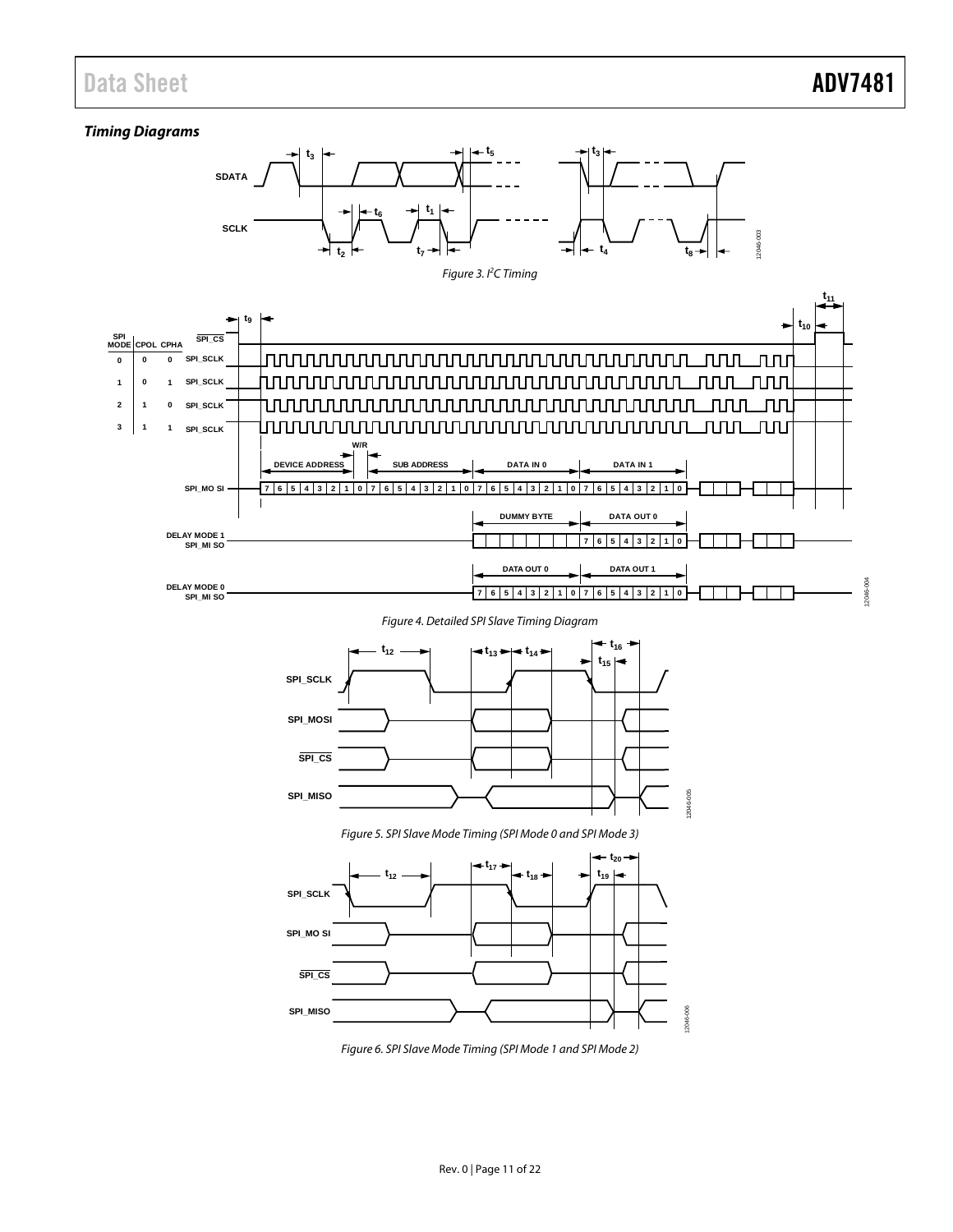## Data Sheet **ADV7481**

12046-004

#### *Timing Diagrams*



*Figure 6. SPI Slave Mode Timing (SPI Mode 1 and SPI Mode 2)*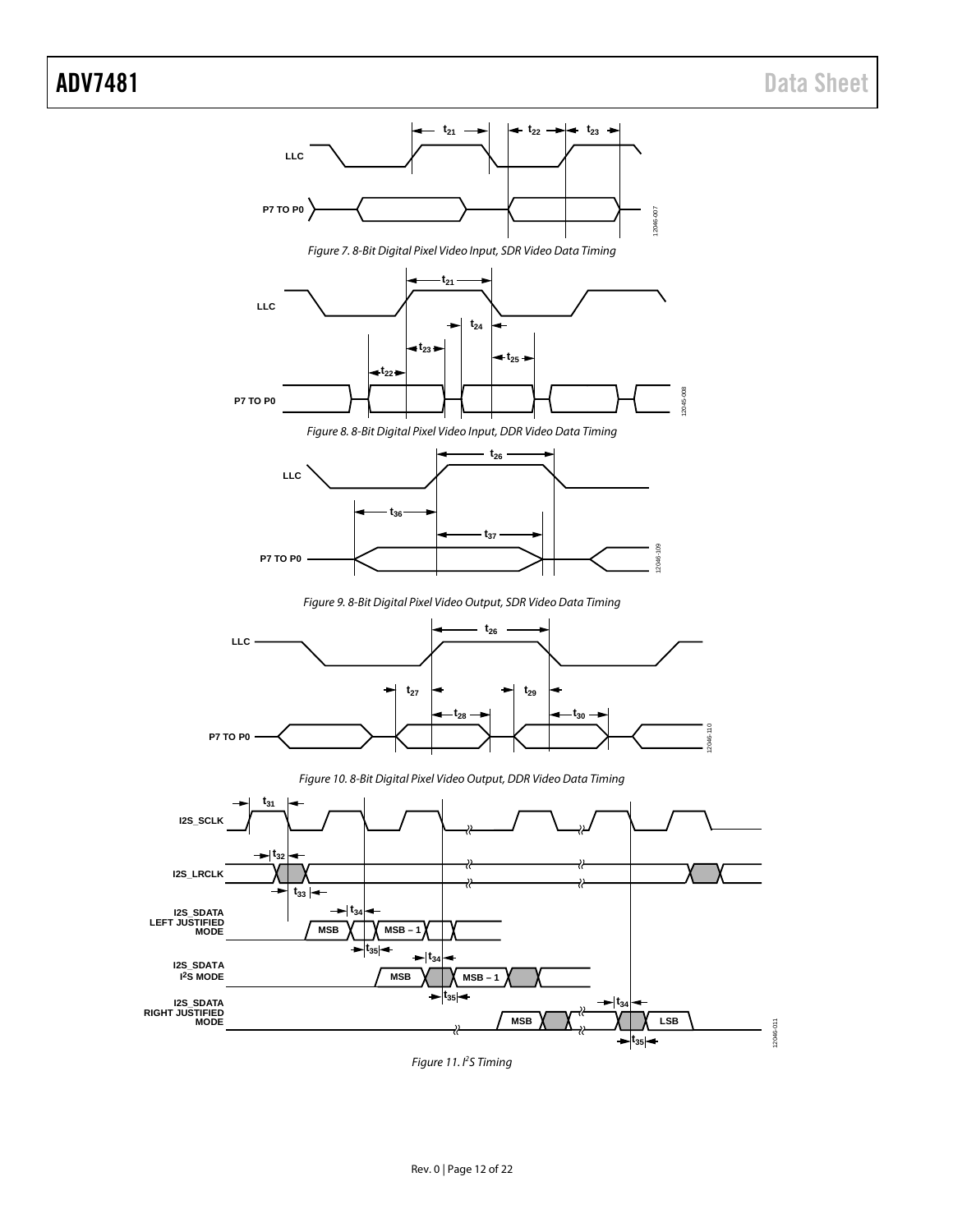

*Figure 11. I2 S Timing*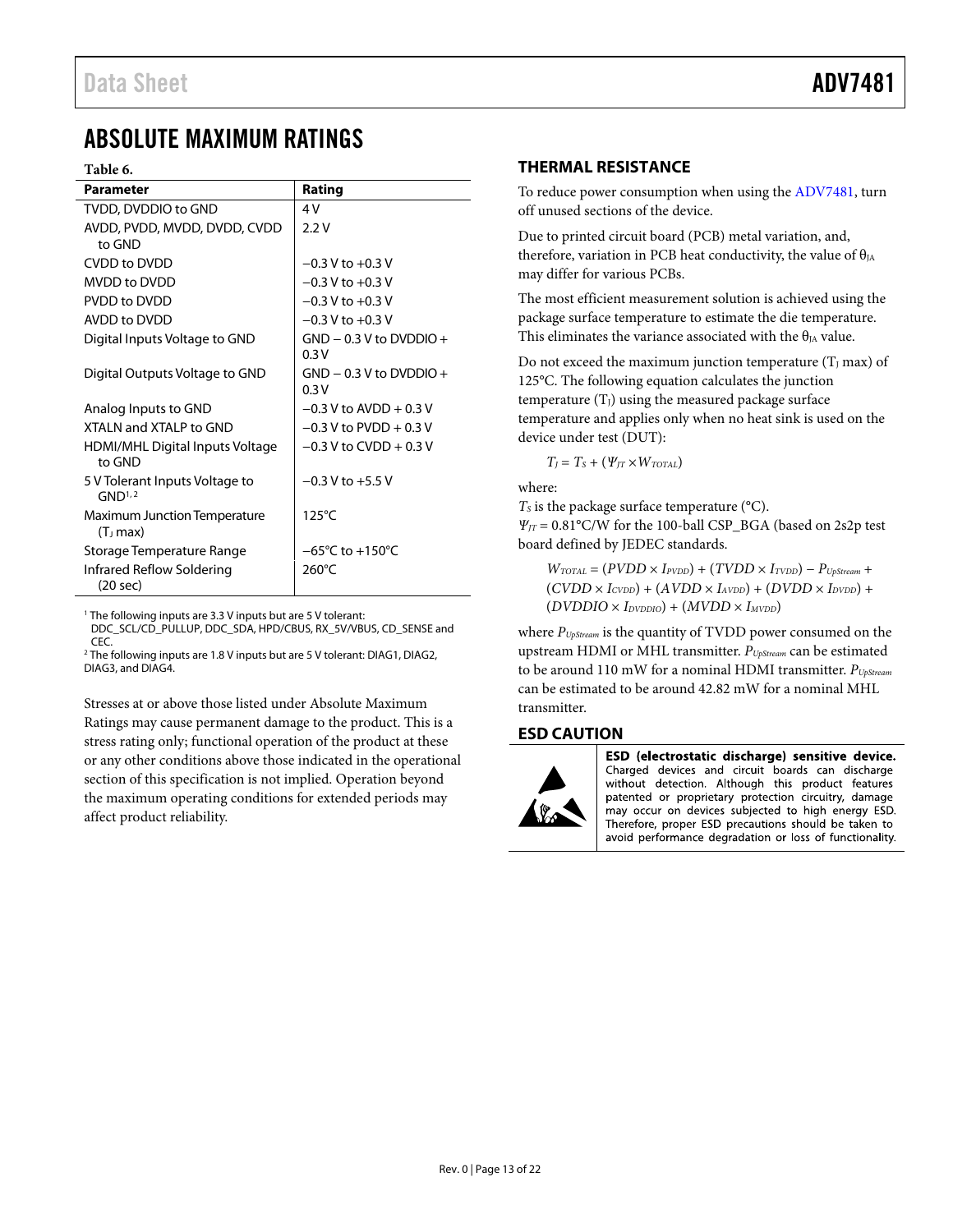## <span id="page-12-0"></span>ABSOLUTE MAXIMUM RATINGS

#### <span id="page-12-3"></span>**Table 6.**

| Parameter                                            | Rating                              |
|------------------------------------------------------|-------------------------------------|
| TVDD, DVDDIO to GND                                  | 4V                                  |
| AVDD, PVDD, MVDD, DVDD, CVDD<br>to GND               | 2.2V                                |
| <b>CVDD to DVDD</b>                                  | $-0.3$ V to $+0.3$ V                |
| <b>MVDD</b> to DVDD                                  | $-0.3$ V to $+0.3$ V                |
| PVDD to DVDD                                         | $-0.3$ V to $+0.3$ V                |
| AVDD to DVDD                                         | $-0.3$ V to $+0.3$ V                |
| Digital Inputs Voltage to GND                        | $GND - 0.3 V$ to DVDDIO +<br>0.3V   |
| Digital Outputs Voltage to GND                       | $GND - 0.3 V$ to DVDDIO +<br>0.3V   |
| Analog Inputs to GND                                 | $-0.3$ V to AVDD + 0.3 V            |
| XTAI N and XTAI P to GND                             | $-0.3$ V to PVDD + 0.3 V            |
| <b>HDMI/MHL Digital Inputs Voltage</b><br>to GND     | $-0.3$ V to CVDD + 0.3 V            |
| 5 V Tolerant Inputs Voltage to<br>GND <sup>1,2</sup> | $-0.3$ V to $+5.5$ V                |
| Maximum Junction Temperature<br>(T <sub>1</sub> max) | 125°C                               |
| Storage Temperature Range                            | $-65^{\circ}$ C to $+150^{\circ}$ C |
| Infrared Reflow Soldering<br>$(20 \text{ sec})$      | $260^{\circ}$ C                     |

<sup>1</sup> The following inputs are 3.3 V inputs but are 5 V tolerant:

DDC\_SCL/CD\_PULLUP, DDC\_SDA, HPD/CBUS, RX\_5V/VBUS, CD\_SENSE and CEC. <sup>2</sup> The following inputs are 1.8 V inputs but are 5 V tolerant: DIAG1, DIAG2, DIAG3, and DIAG4.

Stresses at or above those listed under Absolute Maximum Ratings may cause permanent damage to the product. This is a stress rating only; functional operation of the product at these or any other conditions above those indicated in the operational section of this specification is not implied. Operation beyond the maximum operating conditions for extended periods may affect product reliability.

### <span id="page-12-1"></span>**THERMAL RESISTANCE**

To reduce power consumption when using the [ADV7481,](http://www.analog.com/ADV7481?doc=ADV7481.pdf) turn off unused sections of the device.

Due to printed circuit board (PCB) metal variation, and, therefore, variation in PCB heat conductivity, the value of  $\theta_{JA}$ may differ for various PCBs.

The most efficient measurement solution is achieved using the package surface temperature to estimate the die temperature. This eliminates the variance associated with the  $\theta_{IA}$  value.

Do not exceed the maximum junction temperature  $(T_1 \text{ max})$  of 125°C. The following equation calculates the junction temperature  $(T_J)$  using the measured package surface temperature and applies only when no heat sink is used on the device under test (DUT):

 $T_I = T_S + (V_{IT} \times W_{TOTAL})$ 

where:

 $T<sub>S</sub>$  is the package surface temperature ( $°C$ ).

*ΨJT* = 0.81°C/W for the 100-ball CSP\_BGA (based on 2s2p test board defined by JEDEC standards.

 $W_{\text{TOTAL}} = (P VDD \times I_{\text{PVDD}}) + (T VDD \times I_{\text{TVDD}}) - P_{\text{UpStream}} +$  $(CVDD \times I_{CVDD}) + (AVDD \times I_{AVDD}) + (DVDD \times I_{DVDD}) +$  $(DVDDIO \times I<sub>DVDDIO</sub>) + (MVDD \times I<sub>MVDD</sub>)$ 

where *PUpStream* is the quantity of TVDD power consumed on the upstream HDMI or MHL transmitter. *PUpStream* can be estimated to be around 110 mW for a nominal HDMI transmitter. *PUpStream* can be estimated to be around 42.82 mW for a nominal MHL transmitter.

#### <span id="page-12-2"></span>**ESD CAUTION**



ESD (electrostatic discharge) sensitive device. Charged devices and circuit boards can discharge without detection. Although this product features patented or proprietary protection circuitry, damage may occur on devices subjected to high energy ESD. Therefore, proper ESD precautions should be taken to avoid performance degradation or loss of functionality.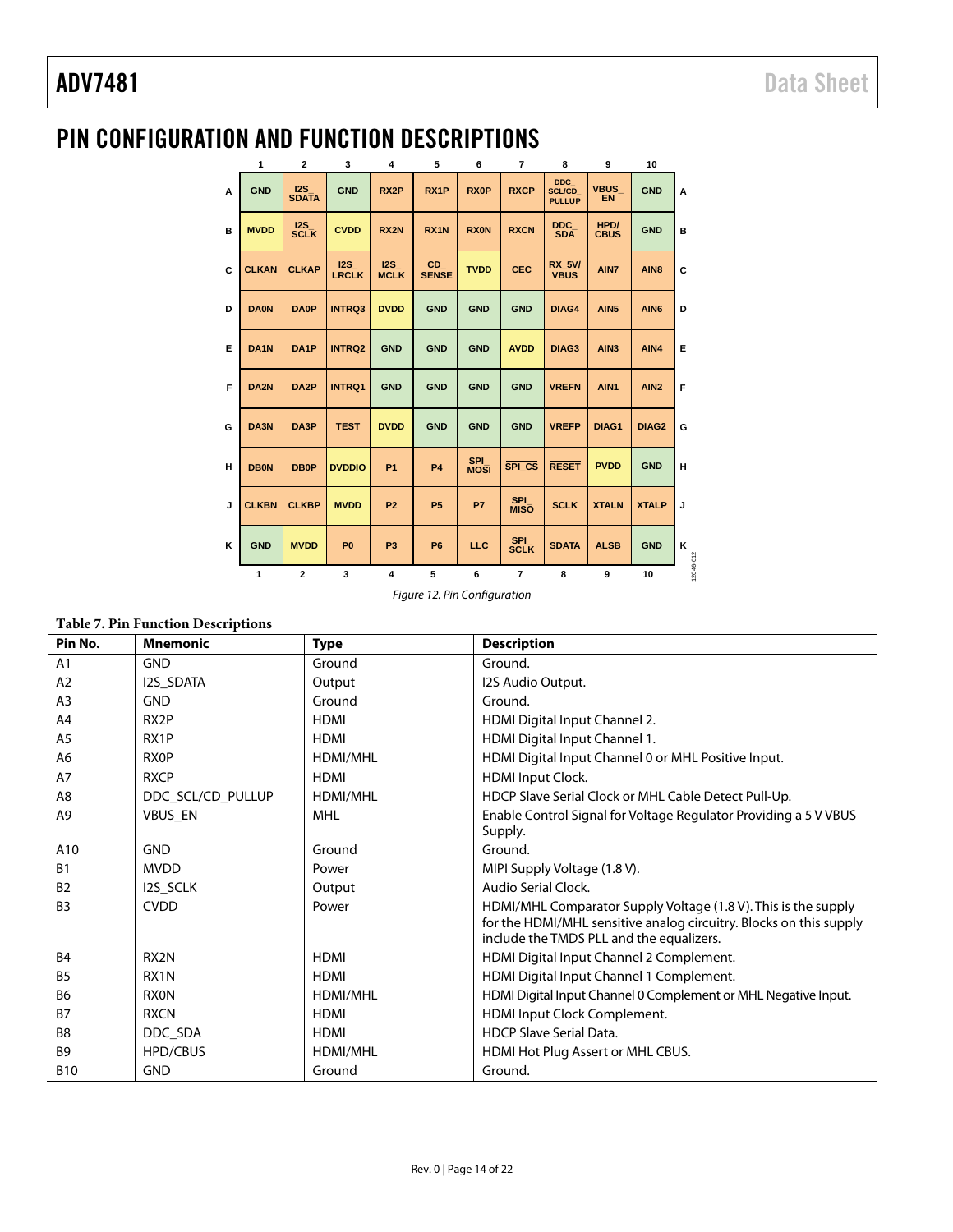# <span id="page-13-0"></span>PIN CONFIGURATION AND FUNCTION DESCRIPTIONS

|   | 1                | $\mathbf{2}$        | 3                   | $\overline{\mathbf{4}}$ | 5                   | 6                         | $\overline{7}$            | 8                                     | 9                        | 10                |           |
|---|------------------|---------------------|---------------------|-------------------------|---------------------|---------------------------|---------------------------|---------------------------------------|--------------------------|-------------------|-----------|
| A | <b>GND</b>       | 12S<br><b>SDATA</b> | <b>GND</b>          | RX <sub>2</sub> P       | RX <sub>1</sub> P   | <b>RXOP</b>               | <b>RXCP</b>               | DDC<br><b>SCL/CD</b><br><b>PULLUP</b> | <b>VBUS</b><br><b>EN</b> | <b>GND</b>        | A         |
| в | <b>MVDD</b>      | 12S<br><b>SCLK</b>  | <b>CVDD</b>         | RX <sub>2N</sub>        | RX <sub>1</sub> N   | <b>RXON</b>               | <b>RXCN</b>               | DDC.<br><b>SDA</b>                    | HPD/<br><b>CBUS</b>      | <b>GND</b>        | B         |
| C | <b>CLKAN</b>     | <b>CLKAP</b>        | 12S<br><b>LRCLK</b> | 12S<br><b>MCLK</b>      | CD.<br><b>SENSE</b> | <b>TVDD</b>               | <b>CEC</b>                | <b>RX 5V/</b><br><b>VBUS</b>          | AIN7                     | AIN <sub>8</sub>  | C         |
| D | <b>DA0N</b>      | <b>DA0P</b>         | <b>INTRQ3</b>       | <b>DVDD</b>             | <b>GND</b>          | <b>GND</b>                | <b>GND</b>                | DIAG4                                 | AIN <sub>5</sub>         | AIN <sub>6</sub>  | D         |
| Е | DA <sub>1N</sub> | DA <sub>1</sub> P   | <b>INTRQ2</b>       | <b>GND</b>              | <b>GND</b>          | <b>GND</b>                | <b>AVDD</b>               | DIAG <sub>3</sub>                     | AIN <sub>3</sub>         | AIN4              | Е         |
| F | DA <sub>2N</sub> | DA <sub>2</sub> P   | <b>INTRQ1</b>       | <b>GND</b>              | <b>GND</b>          | <b>GND</b>                | <b>GND</b>                | <b>VREFN</b>                          | AIN1                     | AIN <sub>2</sub>  | F         |
| G | DA3N             | DA3P                | <b>TEST</b>         | <b>DVDD</b>             | <b>GND</b>          | <b>GND</b>                | <b>GND</b>                | <b>VREFP</b>                          | DIAG1                    | DIAG <sub>2</sub> | G         |
| н | <b>DB0N</b>      | <b>DB0P</b>         | <b>DVDDIO</b>       | <b>P1</b>               | <b>P4</b>           | <b>SPI</b><br><b>MOSI</b> | SPI CS                    | <b>RESET</b>                          | <b>PVDD</b>              | <b>GND</b>        | н         |
| J | <b>CLKBN</b>     | <b>CLKBP</b>        | <b>MVDD</b>         | P <sub>2</sub>          | <b>P5</b>           | P7                        | <b>SPI</b><br><b>MISO</b> | <b>SCLK</b>                           | <b>XTALN</b>             | <b>XTALP</b>      | J         |
| κ | <b>GND</b>       | <b>MVDD</b>         | P <sub>0</sub>      | P <sub>3</sub>          | <b>P6</b>           | LLC                       | <b>SPI</b><br><b>SCLK</b> | <b>SDATA</b>                          | <b>ALSB</b>              | <b>GND</b>        | κ         |
|   | $\mathbf{1}$     | $\overline{2}$      | 3                   | 4                       | 5                   | 6                         | $\overline{7}$            | 8                                     | 9                        | 10                | 12046-012 |

*Figure 12. Pin Configuration*

#### **Table 7. Pin Function Descriptions**

| Pin No.        | <b>Mnemonic</b>   | <b>Type</b>     | <b>Description</b>                                                                                             |
|----------------|-------------------|-----------------|----------------------------------------------------------------------------------------------------------------|
| A1             | <b>GND</b>        | Ground          | Ground.                                                                                                        |
| A2             | I2S_SDATA         | Output          | I2S Audio Output.                                                                                              |
| A <sub>3</sub> | <b>GND</b>        | Ground          | Ground.                                                                                                        |
| A <sub>4</sub> | RX <sub>2</sub> P | <b>HDMI</b>     | HDMI Digital Input Channel 2.                                                                                  |
| A <sub>5</sub> | RX1P              | <b>HDMI</b>     | HDMI Digital Input Channel 1.                                                                                  |
| A <sub>6</sub> | <b>RXOP</b>       | HDMI/MHL        | HDMI Digital Input Channel 0 or MHL Positive Input.                                                            |
| A7             | <b>RXCP</b>       | <b>HDMI</b>     | <b>HDMI</b> Input Clock.                                                                                       |
| A8             | DDC_SCL/CD_PULLUP | <b>HDMI/MHL</b> | HDCP Slave Serial Clock or MHL Cable Detect Pull-Up.                                                           |
| A <sub>9</sub> | <b>VBUS EN</b>    | MHL             | Enable Control Signal for Voltage Regulator Providing a 5 V VBUS                                               |
|                |                   |                 | Supply.                                                                                                        |
| A10            | <b>GND</b>        | Ground          | Ground.                                                                                                        |
| <b>B1</b>      | <b>MVDD</b>       | Power           | MIPI Supply Voltage (1.8 V).                                                                                   |
| <b>B2</b>      | <b>I2S SCLK</b>   | Output          | Audio Serial Clock.                                                                                            |
| B <sub>3</sub> | <b>CVDD</b>       | Power           | HDMI/MHL Comparator Supply Voltage (1.8 V). This is the supply                                                 |
|                |                   |                 | for the HDMI/MHL sensitive analog circuitry. Blocks on this supply<br>include the TMDS PLL and the equalizers. |
| <b>B4</b>      | RX <sub>2N</sub>  | <b>HDMI</b>     | HDMI Digital Input Channel 2 Complement.                                                                       |
| B <sub>5</sub> | RX <sub>1</sub> N | <b>HDMI</b>     | HDMI Digital Input Channel 1 Complement.                                                                       |
| <b>B6</b>      | <b>RXON</b>       | <b>HDMI/MHL</b> | HDMI Digital Input Channel 0 Complement or MHL Negative Input.                                                 |
| <b>B7</b>      | <b>RXCN</b>       | <b>HDMI</b>     | HDMI Input Clock Complement.                                                                                   |
|                |                   |                 |                                                                                                                |
| B <sub>8</sub> | DDC SDA           | <b>HDMI</b>     | <b>HDCP Slave Serial Data.</b>                                                                                 |
| B <sub>9</sub> | <b>HPD/CBUS</b>   | <b>HDMI/MHL</b> | HDMI Hot Plug Assert or MHL CBUS.                                                                              |
| <b>B10</b>     | <b>GND</b>        | Ground          | Ground.                                                                                                        |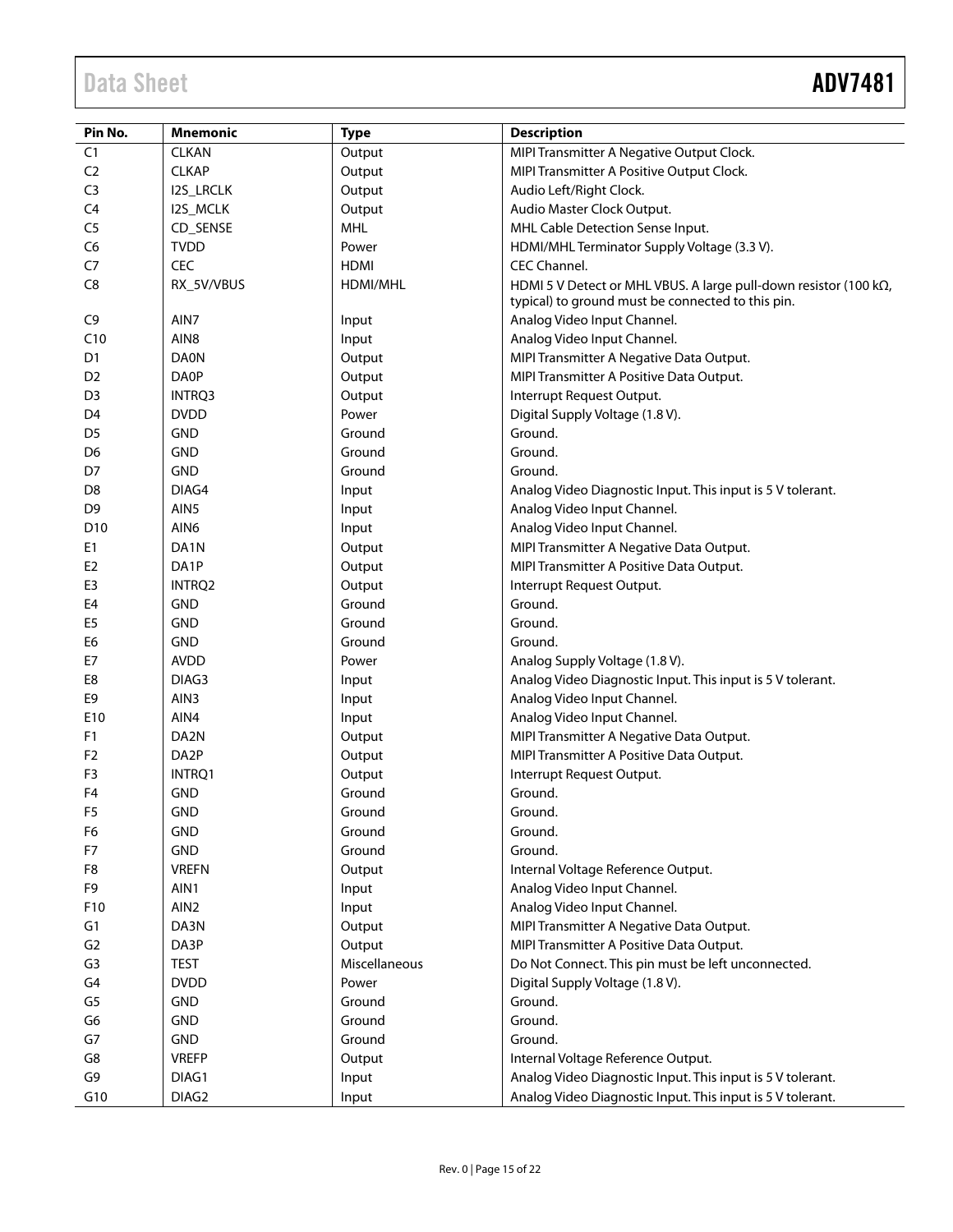# Data Sheet **ADV7481**

| Pin No.         | <b>Mnemonic</b>   | <b>Type</b>   | <b>Description</b>                                                                                                    |
|-----------------|-------------------|---------------|-----------------------------------------------------------------------------------------------------------------------|
| C1              | <b>CLKAN</b>      | Output        | MIPI Transmitter A Negative Output Clock.                                                                             |
| C <sub>2</sub>  | <b>CLKAP</b>      | Output        | MIPI Transmitter A Positive Output Clock.                                                                             |
| C <sub>3</sub>  | <b>I2S_LRCLK</b>  | Output        | Audio Left/Right Clock.                                                                                               |
| C4              | I2S_MCLK          | Output        | Audio Master Clock Output.                                                                                            |
| C <sub>5</sub>  | CD_SENSE          | <b>MHL</b>    | MHL Cable Detection Sense Input.                                                                                      |
| C <sub>6</sub>  | <b>TVDD</b>       | Power         | HDMI/MHL Terminator Supply Voltage (3.3 V).                                                                           |
| C7              | <b>CEC</b>        | <b>HDMI</b>   | <b>CEC Channel.</b>                                                                                                   |
| C <sub>8</sub>  | RX_5V/VBUS        | HDMI/MHL      | HDMI 5 V Detect or MHL VBUS. A large pull-down resistor (100 kΩ,<br>typical) to ground must be connected to this pin. |
| C <sub>9</sub>  | AIN7              | Input         | Analog Video Input Channel.                                                                                           |
| C10             | AIN8              | Input         | Analog Video Input Channel.                                                                                           |
| D <sub>1</sub>  | <b>DA0N</b>       | Output        | MIPI Transmitter A Negative Data Output.                                                                              |
| D <sub>2</sub>  | <b>DA0P</b>       | Output        | MIPI Transmitter A Positive Data Output.                                                                              |
| D <sub>3</sub>  | INTRQ3            | Output        | Interrupt Request Output.                                                                                             |
| D <sub>4</sub>  | <b>DVDD</b>       | Power         | Digital Supply Voltage (1.8 V).                                                                                       |
| D <sub>5</sub>  | <b>GND</b>        | Ground        | Ground.                                                                                                               |
| D6              | <b>GND</b>        | Ground        | Ground.                                                                                                               |
| D7              | <b>GND</b>        | Ground        | Ground.                                                                                                               |
| D <sub>8</sub>  | DIAG4             | Input         | Analog Video Diagnostic Input. This input is 5 V tolerant.                                                            |
| D <sub>9</sub>  | AIN5              | Input         | Analog Video Input Channel.                                                                                           |
| D <sub>10</sub> | AIN6              | Input         | Analog Video Input Channel.                                                                                           |
| E <sub>1</sub>  | DA1N              | Output        | MIPI Transmitter A Negative Data Output.                                                                              |
| E <sub>2</sub>  | DA1P              | Output        | MIPI Transmitter A Positive Data Output.                                                                              |
| E <sub>3</sub>  | INTRQ2            | Output        | Interrupt Request Output.                                                                                             |
| E4              | GND               | Ground        | Ground.                                                                                                               |
| E <sub>5</sub>  | GND               | Ground        | Ground.                                                                                                               |
| E6              | GND               | Ground        | Ground.                                                                                                               |
| E7              | <b>AVDD</b>       | Power         | Analog Supply Voltage (1.8 V).                                                                                        |
| E8              | DIAG3             | Input         | Analog Video Diagnostic Input. This input is 5 V tolerant.                                                            |
| E9              | AIN3              | Input         | Analog Video Input Channel.                                                                                           |
| E10             | AIN4              | Input         | Analog Video Input Channel.                                                                                           |
| F <sub>1</sub>  | DA2N              | Output        | MIPI Transmitter A Negative Data Output.                                                                              |
| F <sub>2</sub>  | DA <sub>2</sub> P | Output        | MIPI Transmitter A Positive Data Output.                                                                              |
| F <sub>3</sub>  | INTRO1            | Output        | Interrupt Request Output.                                                                                             |
| F <sub>4</sub>  | <b>GND</b>        | Ground        | Ground.                                                                                                               |
| F <sub>5</sub>  | <b>GND</b>        | Ground        | Ground.                                                                                                               |
| F <sub>6</sub>  | <b>GND</b>        | Ground        | Ground.                                                                                                               |
| F7              | <b>GND</b>        | Ground        | Ground.                                                                                                               |
| F8              | <b>VREFN</b>      | Output        | Internal Voltage Reference Output.                                                                                    |
| F9              | AIN1              | Input         | Analog Video Input Channel.                                                                                           |
| F10             | AIN <sub>2</sub>  | Input         | Analog Video Input Channel.                                                                                           |
| G1              | DA3N              | Output        | MIPI Transmitter A Negative Data Output.                                                                              |
| G <sub>2</sub>  | DA3P              | Output        | MIPI Transmitter A Positive Data Output.                                                                              |
| G <sub>3</sub>  | TEST              | Miscellaneous | Do Not Connect. This pin must be left unconnected.                                                                    |
| G4              | <b>DVDD</b>       | Power         | Digital Supply Voltage (1.8 V).                                                                                       |
| G <sub>5</sub>  | <b>GND</b>        | Ground        | Ground.                                                                                                               |
| G6              | <b>GND</b>        | Ground        | Ground.                                                                                                               |
| G7              | <b>GND</b>        | Ground        | Ground.                                                                                                               |
| G8              | <b>VREFP</b>      | Output        | Internal Voltage Reference Output.                                                                                    |
| G9              | DIAG1             | Input         | Analog Video Diagnostic Input. This input is 5 V tolerant.                                                            |
| G10             | DIAG2             | Input         | Analoq Video Diagnostic Input. This input is 5 V tolerant.                                                            |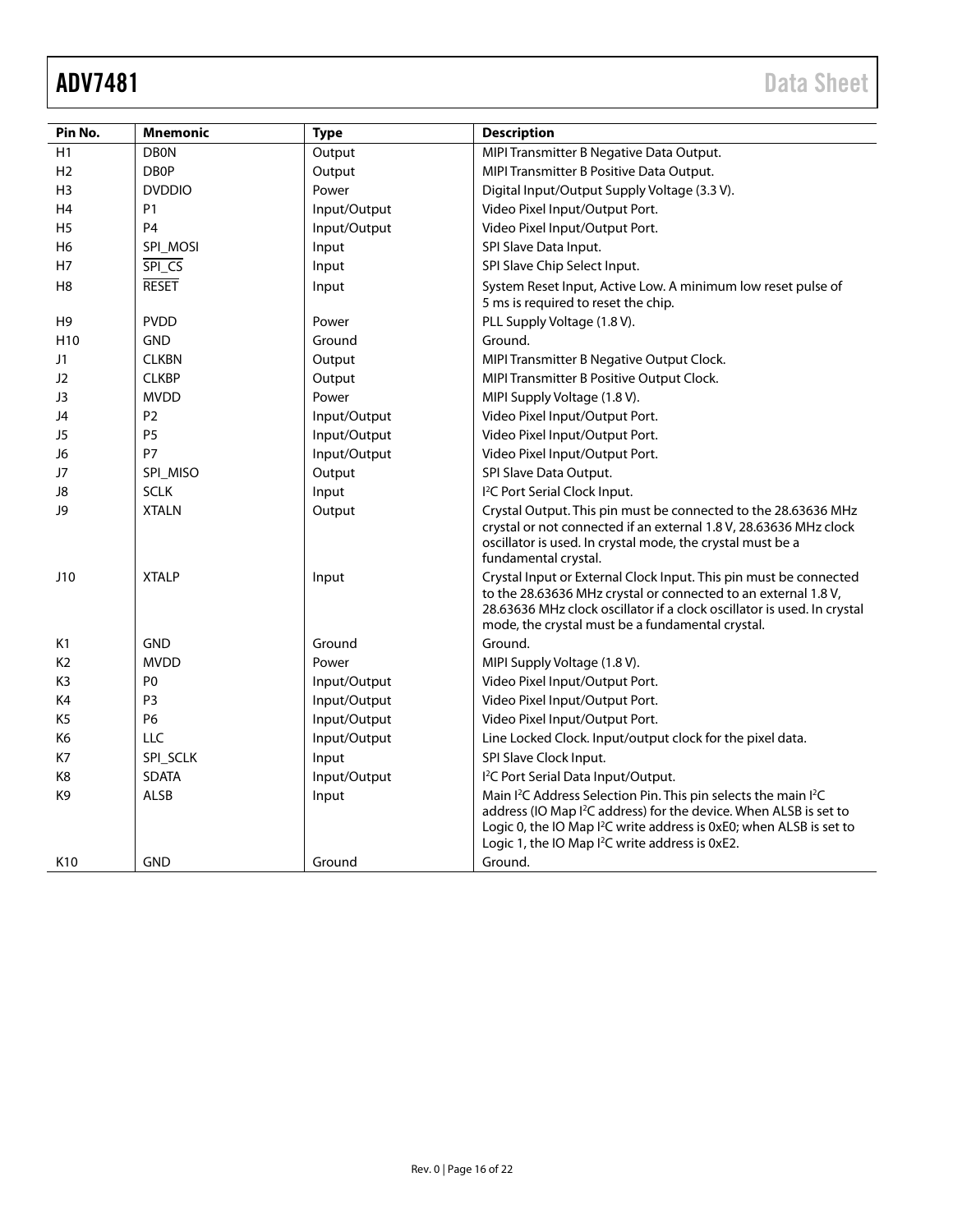| Pin No.         | <b>Mnemonic</b> | <b>Type</b>  | <b>Description</b>                                                                                                                                                                                                                                                                                                         |
|-----------------|-----------------|--------------|----------------------------------------------------------------------------------------------------------------------------------------------------------------------------------------------------------------------------------------------------------------------------------------------------------------------------|
| H1              | <b>DB0N</b>     | Output       | MIPI Transmitter B Negative Data Output.                                                                                                                                                                                                                                                                                   |
| H2              | <b>DBOP</b>     | Output       | MIPI Transmitter B Positive Data Output.                                                                                                                                                                                                                                                                                   |
| H <sub>3</sub>  | <b>DVDDIO</b>   | Power        | Digital Input/Output Supply Voltage (3.3 V).                                                                                                                                                                                                                                                                               |
| H4              | P1              | Input/Output | Video Pixel Input/Output Port.                                                                                                                                                                                                                                                                                             |
| H <sub>5</sub>  | P <sub>4</sub>  | Input/Output | Video Pixel Input/Output Port.                                                                                                                                                                                                                                                                                             |
| H6              | SPI_MOSI        | Input        | SPI Slave Data Input.                                                                                                                                                                                                                                                                                                      |
| H7              | SPI_CS          | Input        | SPI Slave Chip Select Input.                                                                                                                                                                                                                                                                                               |
| H8              | <b>RESET</b>    | Input        | System Reset Input, Active Low. A minimum low reset pulse of<br>5 ms is required to reset the chip.                                                                                                                                                                                                                        |
| H9              | <b>PVDD</b>     | Power        | PLL Supply Voltage (1.8 V).                                                                                                                                                                                                                                                                                                |
| H <sub>10</sub> | <b>GND</b>      | Ground       | Ground.                                                                                                                                                                                                                                                                                                                    |
| J1              | <b>CLKBN</b>    | Output       | MIPI Transmitter B Negative Output Clock.                                                                                                                                                                                                                                                                                  |
| J2              | <b>CLKBP</b>    | Output       | MIPI Transmitter B Positive Output Clock.                                                                                                                                                                                                                                                                                  |
| J3              | <b>MVDD</b>     | Power        | MIPI Supply Voltage (1.8 V).                                                                                                                                                                                                                                                                                               |
| J4              | P <sub>2</sub>  | Input/Output | Video Pixel Input/Output Port.                                                                                                                                                                                                                                                                                             |
| J5              | P <sub>5</sub>  | Input/Output | Video Pixel Input/Output Port.                                                                                                                                                                                                                                                                                             |
| J6              | P7              | Input/Output | Video Pixel Input/Output Port.                                                                                                                                                                                                                                                                                             |
| J7              | SPI_MISO        | Output       | SPI Slave Data Output.                                                                                                                                                                                                                                                                                                     |
| J8              | <b>SCLK</b>     | Input        | <sup>2</sup> C Port Serial Clock Input.                                                                                                                                                                                                                                                                                    |
| J9              | <b>XTALN</b>    | Output       | Crystal Output. This pin must be connected to the 28.63636 MHz<br>crystal or not connected if an external 1.8 V, 28.63636 MHz clock<br>oscillator is used. In crystal mode, the crystal must be a<br>fundamental crystal.                                                                                                  |
| J10             | <b>XTALP</b>    | Input        | Crystal Input or External Clock Input. This pin must be connected<br>to the 28.63636 MHz crystal or connected to an external 1.8 V,<br>28.63636 MHz clock oscillator if a clock oscillator is used. In crystal<br>mode, the crystal must be a fundamental crystal.                                                         |
| K1              | <b>GND</b>      | Ground       | Ground.                                                                                                                                                                                                                                                                                                                    |
| K <sub>2</sub>  | <b>MVDD</b>     | Power        | MIPI Supply Voltage (1.8 V).                                                                                                                                                                                                                                                                                               |
| K3              | P <sub>0</sub>  | Input/Output | Video Pixel Input/Output Port.                                                                                                                                                                                                                                                                                             |
| K4              | P <sub>3</sub>  | Input/Output | Video Pixel Input/Output Port.                                                                                                                                                                                                                                                                                             |
| K <sub>5</sub>  | <b>P6</b>       | Input/Output | Video Pixel Input/Output Port.                                                                                                                                                                                                                                                                                             |
| К6              | LLC             | Input/Output | Line Locked Clock. Input/output clock for the pixel data.                                                                                                                                                                                                                                                                  |
| K7              | SPI_SCLK        | Input        | SPI Slave Clock Input.                                                                                                                                                                                                                                                                                                     |
| K8              | <b>SDATA</b>    | Input/Output | I <sup>2</sup> C Port Serial Data Input/Output.                                                                                                                                                                                                                                                                            |
| K9              | ALSB            | Input        | Main I <sup>2</sup> C Address Selection Pin. This pin selects the main I <sup>2</sup> C<br>address (IO Map I <sup>2</sup> C address) for the device. When ALSB is set to<br>Logic 0, the IO Map I <sup>2</sup> C write address is 0xE0; when ALSB is set to<br>Logic 1, the IO Map I <sup>2</sup> C write address is 0xE2. |
| K <sub>10</sub> | <b>GND</b>      | Ground       | Ground.                                                                                                                                                                                                                                                                                                                    |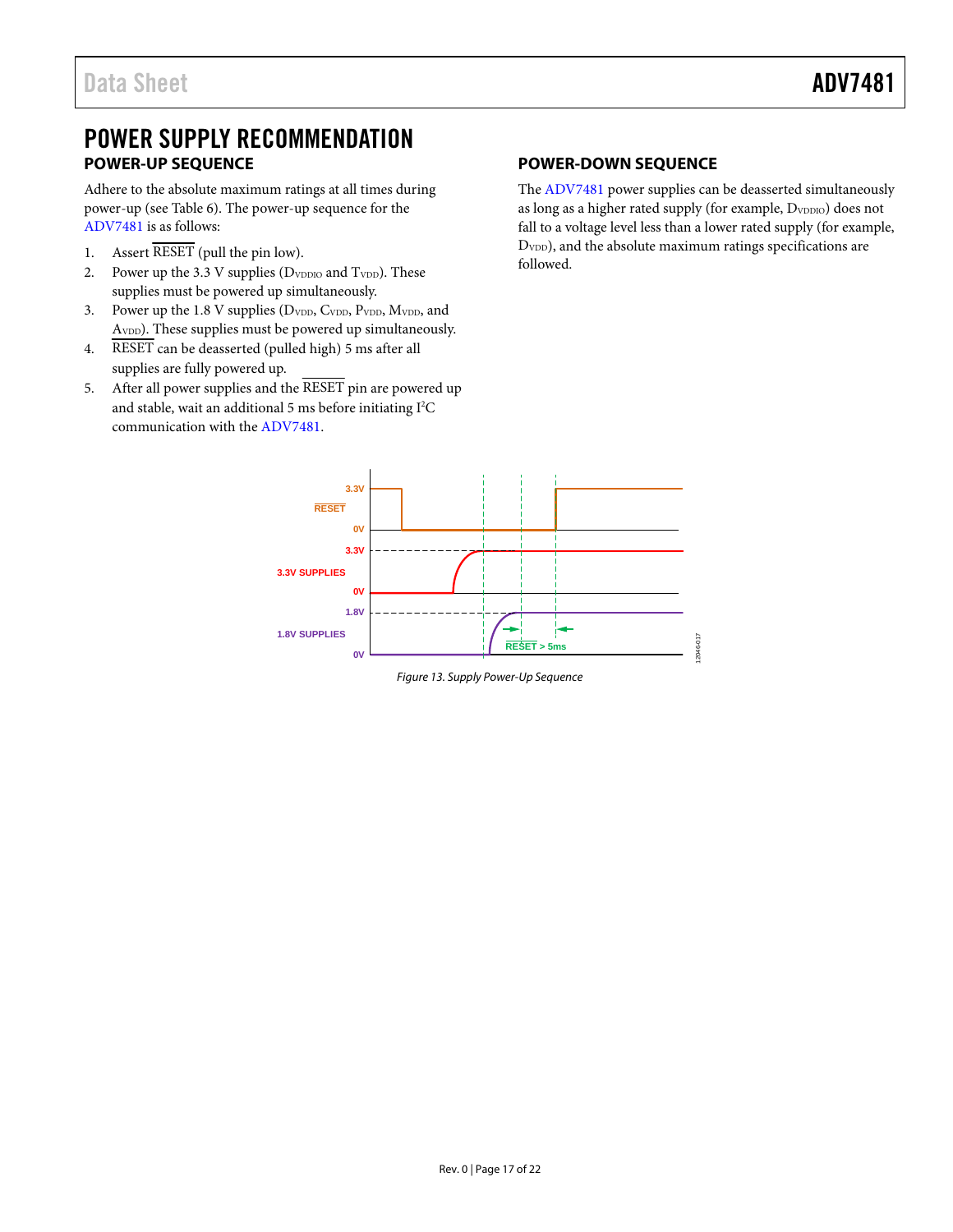## <span id="page-16-0"></span>POWER SUPPLY RECOMMENDATION **POWER-UP SEQUENCE**

<span id="page-16-1"></span>Adhere to the absolute maximum ratings at all times during power-up (se[e Table 6\)](#page-12-3). The power-up sequence for the [ADV7481 i](http://www.analog.com/ADV7481?doc=ADV7481.pdf)s as follows:

- 1. Assert RESET (pull the pin low).
- 2. Power up the 3.3 V supplies (D<sub>VDDIO</sub> and T<sub>VDD</sub>). These supplies must be powered up simultaneously.
- 3. Power up the 1.8 V supplies (D<sub>VDD</sub>, C<sub>VDD</sub>, P<sub>VDD</sub>, M<sub>VDD</sub>, and A<sub>VDD</sub>). These supplies must be powered up simultaneously.
- 4. RESET can be deasserted (pulled high) 5 ms after all supplies are fully powered up.
- 5. After all power supplies and the RESET pin are powered up and stable, wait an additional 5 ms before initiating I<sup>2</sup>C communication with the [ADV7481.](http://www.analog.com/ADV7481?doc=ADV7481.pdf)

#### <span id="page-16-2"></span>**POWER-DOWN SEQUENCE**

The [ADV7481 p](http://www.analog.com/ADV7481?doc=ADV7481.pdf)ower supplies can be deasserted simultaneously as long as a higher rated supply (for example, D<sub>VDDIO</sub>) does not fall to a voltage level less than a lower rated supply (for example, D<sub>VDD</sub>), and the absolute maximum ratings specifications are followed.



Figure 13. Supply Power-Up Sequence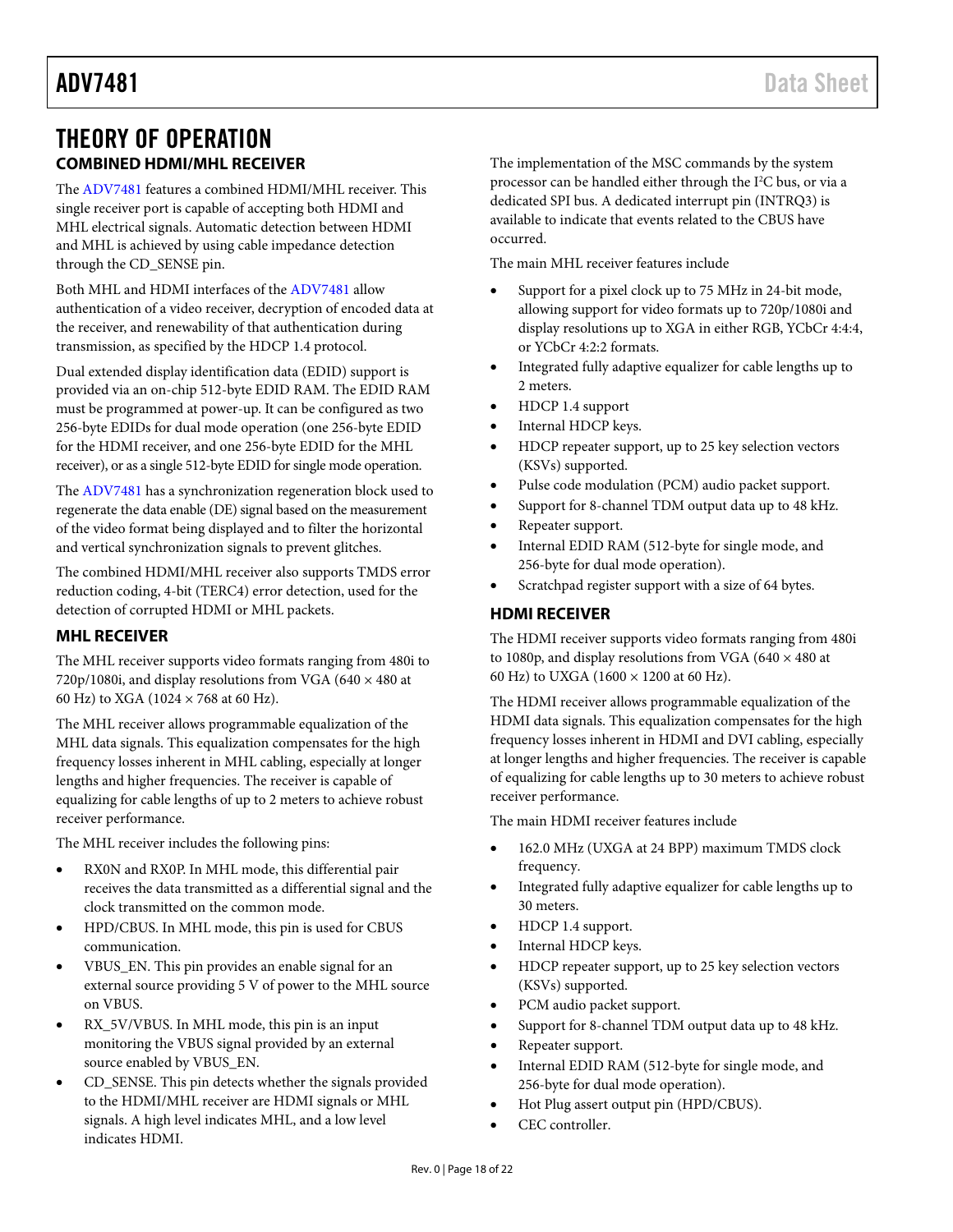## <span id="page-17-0"></span>THEORY OF OPERATION **COMBINED HDMI/MHL RECEIVER**

<span id="page-17-1"></span>The [ADV7481](http://www.analog.com/ADV7481?doc=ADV7481.pdf) features a combined HDMI/MHL receiver. This single receiver port is capable of accepting both HDMI and MHL electrical signals. Automatic detection between HDMI and MHL is achieved by using cable impedance detection through the CD\_SENSE pin.

Both MHL and HDMI interfaces of th[e ADV7481](http://www.analog.com/ADV7481?doc=ADV7481.pdf) allow authentication of a video receiver, decryption of encoded data at the receiver, and renewability of that authentication during transmission, as specified by the HDCP 1.4 protocol.

Dual extended display identification data (EDID) support is provided via an on-chip 512-byte EDID RAM. The EDID RAM must be programmed at power-up. It can be configured as two 256-byte EDIDs for dual mode operation (one 256-byte EDID for the HDMI receiver, and one 256-byte EDID for the MHL receiver), or as a single 512-byte EDID for single mode operation.

The [ADV7481](http://www.analog.com/ADV7481?doc=ADV7481.pdf) has a synchronization regeneration block used to regenerate the data enable (DE) signal based on the measurement of the video format being displayed and to filter the horizontal and vertical synchronization signals to prevent glitches.

The combined HDMI/MHL receiver also supports TMDS error reduction coding, 4-bit (TERC4) error detection, used for the detection of corrupted HDMI or MHL packets.

#### <span id="page-17-2"></span>**MHL RECEIVER**

The MHL receiver supports video formats ranging from 480i to 720p/1080i, and display resolutions from VGA (640  $\times$  480 at 60 Hz) to XGA (1024 × 768 at 60 Hz).

The MHL receiver allows programmable equalization of the MHL data signals. This equalization compensates for the high frequency losses inherent in MHL cabling, especially at longer lengths and higher frequencies. The receiver is capable of equalizing for cable lengths of up to 2 meters to achieve robust receiver performance.

The MHL receiver includes the following pins:

- RX0N and RX0P. In MHL mode, this differential pair receives the data transmitted as a differential signal and the clock transmitted on the common mode.
- HPD/CBUS. In MHL mode, this pin is used for CBUS communication.
- VBUS\_EN. This pin provides an enable signal for an external source providing 5 V of power to the MHL source on VBUS.
- RX\_5V/VBUS. In MHL mode, this pin is an input monitoring the VBUS signal provided by an external source enabled by VBUS\_EN.
- CD\_SENSE. This pin detects whether the signals provided to the HDMI/MHL receiver are HDMI signals or MHL signals. A high level indicates MHL, and a low level indicates HDMI.

The implementation of the MSC commands by the system processor can be handled either through the I<sup>2</sup>C bus, or via a dedicated SPI bus. A dedicated interrupt pin (INTRQ3) is available to indicate that events related to the CBUS have occurred.

The main MHL receiver features include

- Support for a pixel clock up to 75 MHz in 24-bit mode, allowing support for video formats up to 720p/1080i and display resolutions up to XGA in either RGB, YCbCr 4:4:4, or YCbCr 4:2:2 formats.
- Integrated fully adaptive equalizer for cable lengths up to 2 meters.
- HDCP 1.4 support
- Internal HDCP keys.
- HDCP repeater support, up to 25 key selection vectors (KSVs) supported.
- Pulse code modulation (PCM) audio packet support.
- Support for 8-channel TDM output data up to 48 kHz.
- Repeater support.
- Internal EDID RAM (512-byte for single mode, and 256-byte for dual mode operation).
- Scratchpad register support with a size of 64 bytes.

#### <span id="page-17-3"></span>**HDMI RECEIVER**

The HDMI receiver supports video formats ranging from 480i to 1080p, and display resolutions from VGA (640  $\times$  480 at 60 Hz) to UXGA (1600 × 1200 at 60 Hz).

The HDMI receiver allows programmable equalization of the HDMI data signals. This equalization compensates for the high frequency losses inherent in HDMI and DVI cabling, especially at longer lengths and higher frequencies. The receiver is capable of equalizing for cable lengths up to 30 meters to achieve robust receiver performance.

The main HDMI receiver features include

- 162.0 MHz (UXGA at 24 BPP) maximum TMDS clock frequency.
- Integrated fully adaptive equalizer for cable lengths up to 30 meters.
- HDCP 1.4 support.
- Internal HDCP keys.
- HDCP repeater support, up to 25 key selection vectors (KSVs) supported.
- PCM audio packet support.
- Support for 8-channel TDM output data up to 48 kHz.
- Repeater support.
- Internal EDID RAM (512-byte for single mode, and 256-byte for dual mode operation).
- Hot Plug assert output pin (HPD/CBUS).
- CEC controller.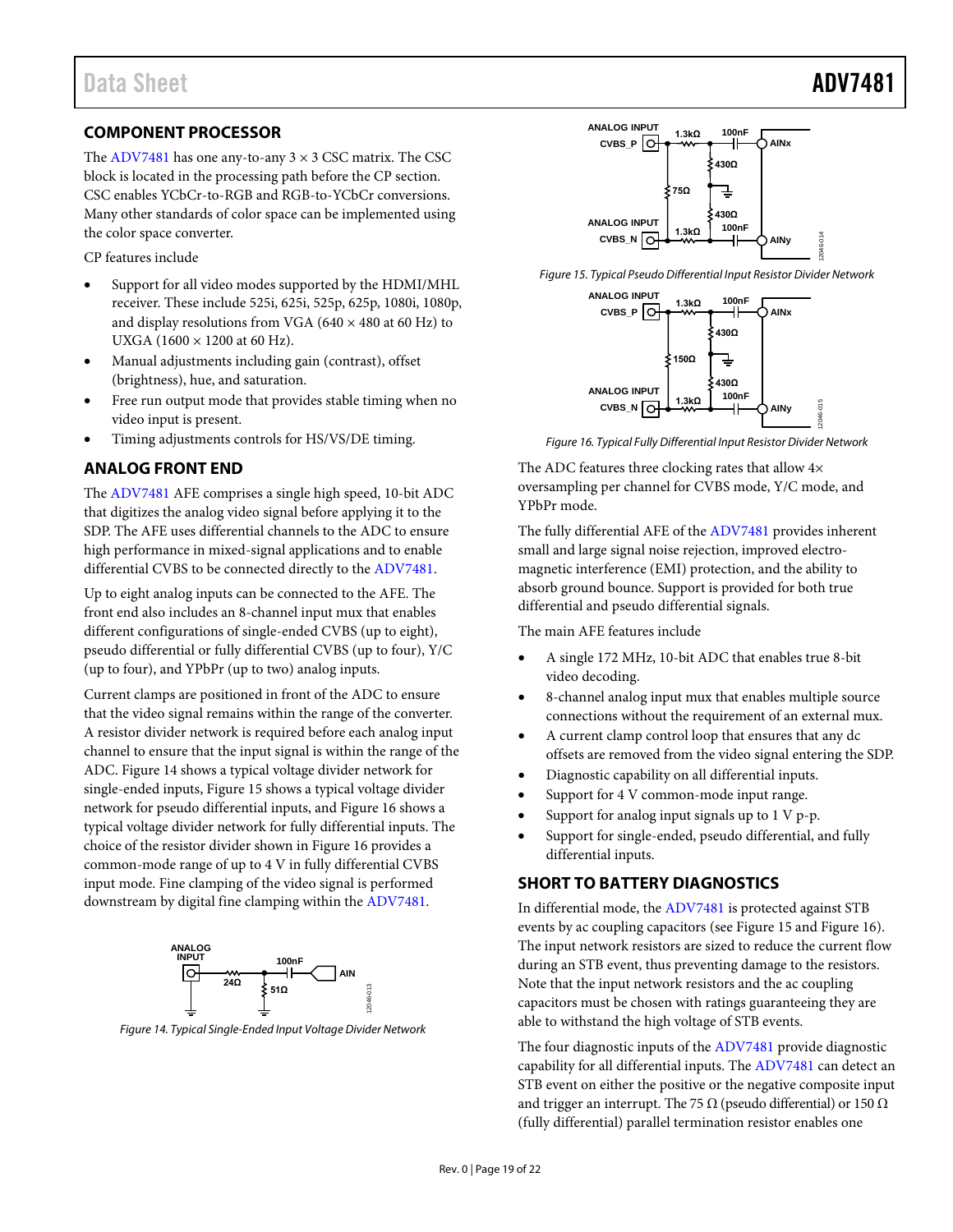#### <span id="page-18-0"></span>**COMPONENT PROCESSOR**

The [ADV7481](http://www.analog.com/ADV7481?doc=ADV7481.pdf) has one any-to-any  $3 \times 3$  CSC matrix. The CSC block is located in the processing path before the CP section. CSC enables YCbCr-to-RGB and RGB-to-YCbCr conversions. Many other standards of color space can be implemented using the color space converter.

CP features include

- Support for all video modes supported by the HDMI/MHL receiver. These include 525i, 625i, 525p, 625p, 1080i, 1080p, and display resolutions from VGA (640  $\times$  480 at 60 Hz) to UXGA (1600  $\times$  1200 at 60 Hz).
- Manual adjustments including gain (contrast), offset (brightness), hue, and saturation.
- Free run output mode that provides stable timing when no video input is present.
- Timing adjustments controls for HS/VS/DE timing.

#### <span id="page-18-1"></span>**ANALOG FRONT END**

The [ADV7481](http://www.analog.com/ADV7481?doc=ADV7481.pdf) AFE comprises a single high speed, 10-bit ADC that digitizes the analog video signal before applying it to the SDP. The AFE uses differential channels to the ADC to ensure high performance in mixed-signal applications and to enable differential CVBS to be connected directly to th[e ADV7481.](http://www.analog.com/ADV7481?doc=ADV7481.pdf)

Up to eight analog inputs can be connected to the AFE. The front end also includes an 8-channel input mux that enables different configurations of single-ended CVBS (up to eight), pseudo differential or fully differential CVBS (up to four), Y/C (up to four), and YPbPr (up to two) analog inputs.

Current clamps are positioned in front of the ADC to ensure that the video signal remains within the range of the converter. A resistor divider network is required before each analog input channel to ensure that the input signal is within the range of the ADC[. Figure 14](#page-18-3) shows a typical voltage divider network for single-ended inputs, [Figure 15](#page-18-4) shows a typical voltage divider network for pseudo differential inputs, an[d Figure 16](#page-18-5) shows a typical voltage divider network for fully differential inputs. The choice of the resistor divider shown i[n Figure 16](#page-18-5) provides a common-mode range of up to 4 V in fully differential CVBS input mode. Fine clamping of the video signal is performed downstream by digital fine clamping within th[e ADV7481.](http://www.analog.com/ADV7481?doc=ADV7481.pdf)



<span id="page-18-3"></span>*Figure 14. Typical Single-Ended Input Voltage Divider Network*



<span id="page-18-4"></span>*Figure 15. Typical Pseudo Differential Input Resistor Divider Network*



<span id="page-18-5"></span>*Figure 16. Typical Fully Differential Input Resistor Divider Network*

The ADC features three clocking rates that allow  $4\times$ oversampling per channel for CVBS mode, Y/C mode, and YPbPr mode.

The fully differential AFE of th[e ADV7481](http://www.analog.com/ADV7481?doc=ADV7481.pdf) provides inherent small and large signal noise rejection, improved electromagnetic interference (EMI) protection, and the ability to absorb ground bounce. Support is provided for both true differential and pseudo differential signals.

The main AFE features include

- A single 172 MHz, 10-bit ADC that enables true 8-bit video decoding.
- 8-channel analog input mux that enables multiple source connections without the requirement of an external mux.
- A current clamp control loop that ensures that any dc offsets are removed from the video signal entering the SDP.
- Diagnostic capability on all differential inputs.
- Support for 4 V common-mode input range.
- Support for analog input signals up to  $1 \nabla p$ -p.
- Support for single-ended, pseudo differential, and fully differential inputs.

#### <span id="page-18-2"></span>**SHORT TO BATTERY DIAGNOSTICS**

In differential mode, th[e ADV7481](http://www.analog.com/ADV7481?doc=ADV7481.pdf) is protected against STB events by ac coupling capacitors (se[e Figure 15](#page-18-4) an[d Figure 16\)](#page-18-5). The input network resistors are sized to reduce the current flow during an STB event, thus preventing damage to the resistors. Note that the input network resistors and the ac coupling capacitors must be chosen with ratings guaranteeing they are able to withstand the high voltage of STB events.

The four diagnostic inputs of th[e ADV7481](http://www.analog.com/ADV7481?doc=ADV7481.pdf) provide diagnostic capability for all differential inputs. The [ADV7481](http://www.analog.com/ADV7481?doc=ADV7481.pdf) can detect an STB event on either the positive or the negative composite input and trigger an interrupt. The 75  $\Omega$  (pseudo differential) or 150  $\Omega$ (fully differential) parallel termination resistor enables one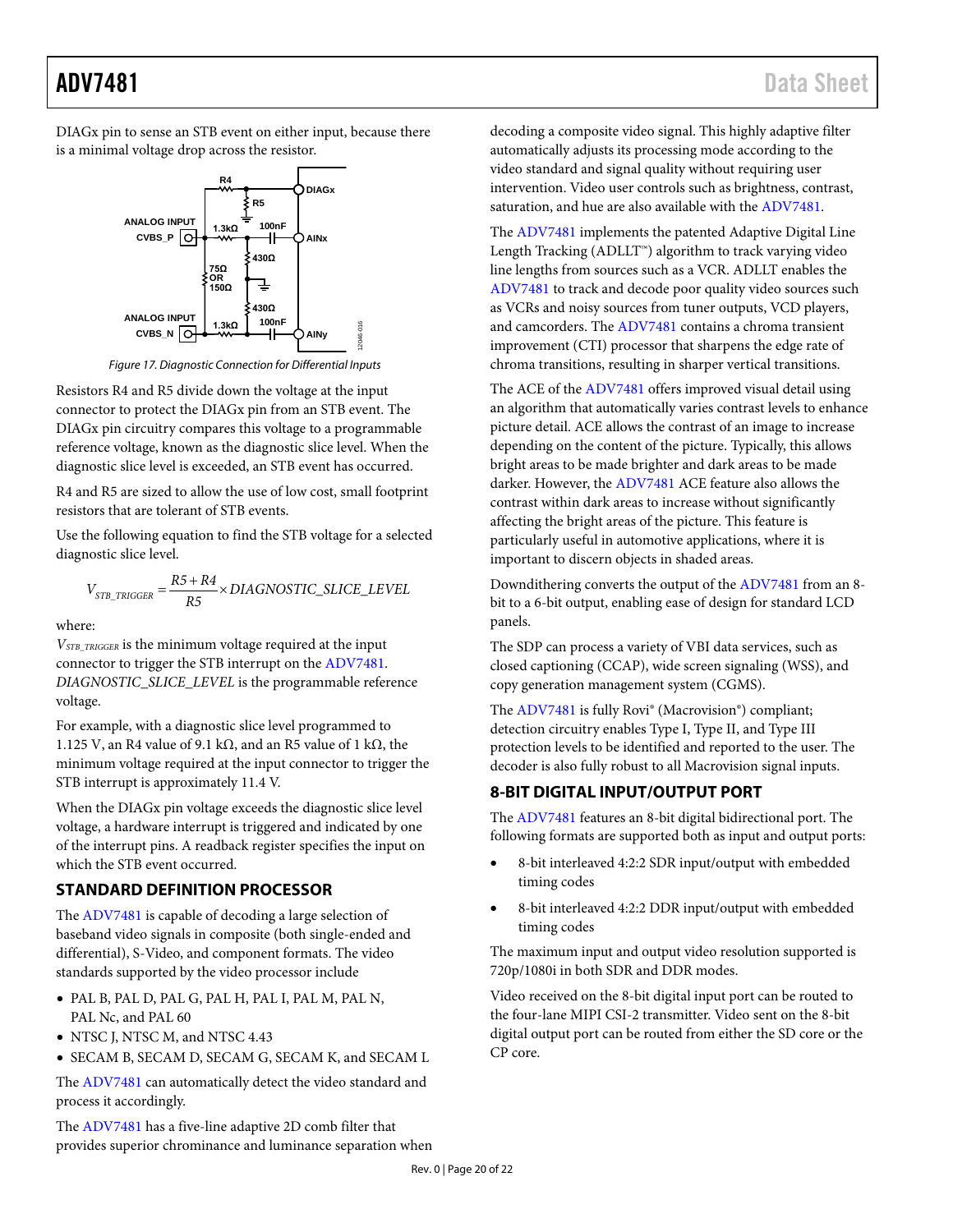DIAGx pin to sense an STB event on either input, because there is a minimal voltage drop across the resistor.



*Figure 17. Diagnostic Connection for Differential Inputs*

Resistors R4 and R5 divide down the voltage at the input connector to protect the DIAGx pin from an STB event. The DIAGx pin circuitry compares this voltage to a programmable reference voltage, known as the diagnostic slice level. When the diagnostic slice level is exceeded, an STB event has occurred.

R4 and R5 are sized to allow the use of low cost, small footprint resistors that are tolerant of STB events.

Use the following equation to find the STB voltage for a selected diagnostic slice level.

$$
V_{STB\_TRIGGER} = \frac{R5 + R4}{R5} \times DIAGNOSTIC\_SLICE\_LEVEL
$$

where:

*VSTB\_TRIGGER* is the minimum voltage required at the input connector to trigger the STB interrupt on the [ADV7481.](http://www.analog.com/ADV7481?doc=ADV7481.pdf) *DIAGNOSTIC\_SLICE\_LEVEL* is the programmable reference voltage.

For example, with a diagnostic slice level programmed to 1.125 V, an R4 value of 9.1 kΩ, and an R5 value of 1 kΩ, the minimum voltage required at the input connector to trigger the STB interrupt is approximately 11.4 V.

When the DIAGx pin voltage exceeds the diagnostic slice level voltage, a hardware interrupt is triggered and indicated by one of the interrupt pins. A readback register specifies the input on which the STB event occurred.

### <span id="page-19-0"></span>**STANDARD DEFINITION PROCESSOR**

The [ADV7481](http://www.analog.com/ADV7481?doc=ADV7481.pdf) is capable of decoding a large selection of baseband video signals in composite (both single-ended and differential), S-Video, and component formats. The video standards supported by the video processor include

- PAL B, PAL D, PAL G, PAL H, PAL I, PAL M, PAL N, PAL Nc, and PAL 60
- NTSC J, NTSC M, and NTSC 4.43
- SECAM B, SECAM D, SECAM G, SECAM K, and SECAM L

The [ADV7481](http://www.analog.com/ADV7481?doc=ADV7481.pdf) can automatically detect the video standard and process it accordingly.

The [ADV7481](http://www.analog.com/ADV7481?doc=ADV7481.pdf) has a five-line adaptive 2D comb filter that provides superior chrominance and luminance separation when decoding a composite video signal. This highly adaptive filter automatically adjusts its processing mode according to the video standard and signal quality without requiring user intervention. Video user controls such as brightness, contrast, saturation, and hue are also available with th[e ADV7481.](http://www.analog.com/ADV7481?doc=ADV7481.pdf)

The [ADV7481](http://www.analog.com/ADV7481?doc=ADV7481.pdf) implements the patented Adaptive Digital Line Length Tracking (ADLLT™) algorithm to track varying video line lengths from sources such as a VCR. ADLLT enables the [ADV7481](http://www.analog.com/ADV7481?doc=ADV7481.pdf) to track and decode poor quality video sources such as VCRs and noisy sources from tuner outputs, VCD players, and camcorders. The [ADV7481](http://www.analog.com/ADV7481?doc=ADV7481.pdf) contains a chroma transient improvement (CTI) processor that sharpens the edge rate of chroma transitions, resulting in sharper vertical transitions.

The ACE of the [ADV7481](http://www.analog.com/ADV7481?doc=ADV7481.pdf) offers improved visual detail using an algorithm that automatically varies contrast levels to enhance picture detail. ACE allows the contrast of an image to increase depending on the content of the picture. Typically, this allows bright areas to be made brighter and dark areas to be made darker. However, th[e ADV7481](http://www.analog.com/ADV7481?doc=ADV7481.pdf) ACE feature also allows the contrast within dark areas to increase without significantly affecting the bright areas of the picture. This feature is particularly useful in automotive applications, where it is important to discern objects in shaded areas.

Downdithering converts the output of th[e ADV7481](http://www.analog.com/ADV7481?doc=ADV7481.pdf) from an 8 bit to a 6-bit output, enabling ease of design for standard LCD panels.

The SDP can process a variety of VBI data services, such as closed captioning (CCAP), wide screen signaling (WSS), and copy generation management system (CGMS).

The [ADV7481](http://www.analog.com/ADV7481?doc=ADV7481.pdf) is fully Rovi® (Macrovision®) compliant; detection circuitry enables Type I, Type II, and Type III protection levels to be identified and reported to the user. The decoder is also fully robust to all Macrovision signal inputs.

### <span id="page-19-1"></span>**8-BIT DIGITAL INPUT/OUTPUT PORT**

The [ADV7481](http://www.analog.com/ADV7481?doc=ADV7481.pdf) features an 8-bit digital bidirectional port. The following formats are supported both as input and output ports:

- 8-bit interleaved 4:2:2 SDR input/output with embedded timing codes
- 8-bit interleaved 4:2:2 DDR input/output with embedded timing codes

The maximum input and output video resolution supported is 720p/1080i in both SDR and DDR modes.

Video received on the 8-bit digital input port can be routed to the four-lane MIPI CSI-2 transmitter. Video sent on the 8-bit digital output port can be routed from either the SD core or the CP core.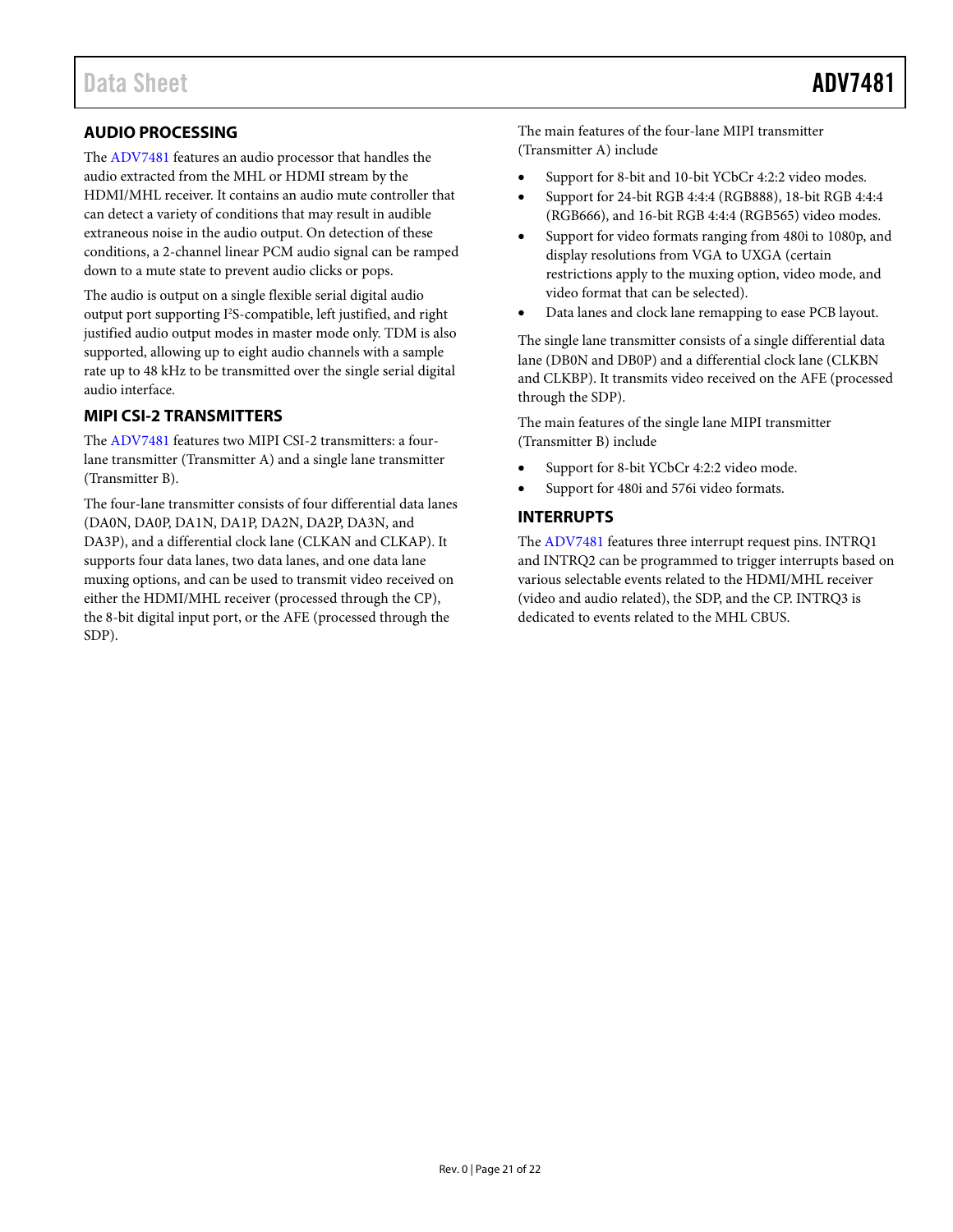### <span id="page-20-0"></span>**AUDIO PROCESSING**

The [ADV7481](http://www.analog.com/ADV7481?doc=ADV7481.pdf) features an audio processor that handles the audio extracted from the MHL or HDMI stream by the HDMI/MHL receiver. It contains an audio mute controller that can detect a variety of conditions that may result in audible extraneous noise in the audio output. On detection of these conditions, a 2-channel linear PCM audio signal can be ramped down to a mute state to prevent audio clicks or pops.

The audio is output on a single flexible serial digital audio output port supporting I<sup>2</sup>S-compatible, left justified, and right justified audio output modes in master mode only. TDM is also supported, allowing up to eight audio channels with a sample rate up to 48 kHz to be transmitted over the single serial digital audio interface.

#### <span id="page-20-1"></span>**MIPI CSI-2 TRANSMITTERS**

The [ADV7481](http://www.analog.com/ADV7481?doc=ADV7481.pdf) features two MIPI CSI-2 transmitters: a fourlane transmitter (Transmitter A) and a single lane transmitter (Transmitter B).

The four-lane transmitter consists of four differential data lanes (DA0N, DA0P, DA1N, DA1P, DA2N, DA2P, DA3N, and DA3P), and a differential clock lane (CLKAN and CLKAP). It supports four data lanes, two data lanes, and one data lane muxing options, and can be used to transmit video received on either the HDMI/MHL receiver (processed through the CP), the 8-bit digital input port, or the AFE (processed through the SDP).

The main features of the four-lane MIPI transmitter (Transmitter A) include

- Support for 8-bit and 10-bit YCbCr 4:2:2 video modes.
- Support for 24-bit RGB 4:4:4 (RGB888), 18-bit RGB 4:4:4 (RGB666), and 16-bit RGB 4:4:4 (RGB565) video modes.
- Support for video formats ranging from 480i to 1080p, and display resolutions from VGA to UXGA (certain restrictions apply to the muxing option, video mode, and video format that can be selected).
- Data lanes and clock lane remapping to ease PCB layout.

The single lane transmitter consists of a single differential data lane (DB0N and DB0P) and a differential clock lane (CLKBN and CLKBP). It transmits video received on the AFE (processed through the SDP).

The main features of the single lane MIPI transmitter (Transmitter B) include

- Support for 8-bit YCbCr 4:2:2 video mode.
- Support for 480i and 576i video formats.

#### <span id="page-20-2"></span>**INTERRUPTS**

The [ADV7481](http://www.analog.com/ADV7481?doc=ADV7481.pdf) features three interrupt request pins. INTRQ1 and INTRQ2 can be programmed to trigger interrupts based on various selectable events related to the HDMI/MHL receiver (video and audio related), the SDP, and the CP. INTRQ3 is dedicated to events related to the MHL CBUS.